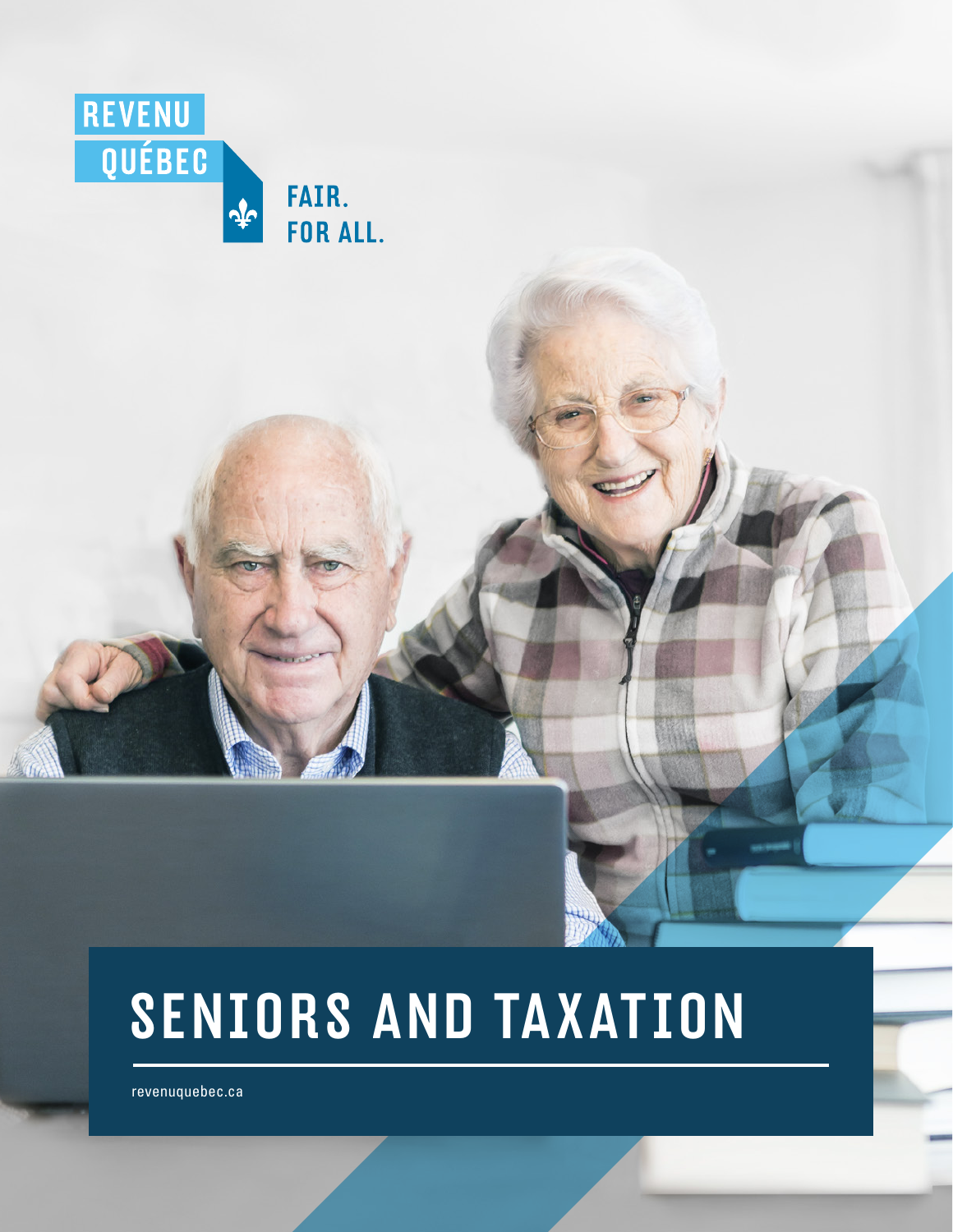

# SENIORS AND TAXATION

 [revenuquebec.ca](https://www.revenuquebec.ca/en/)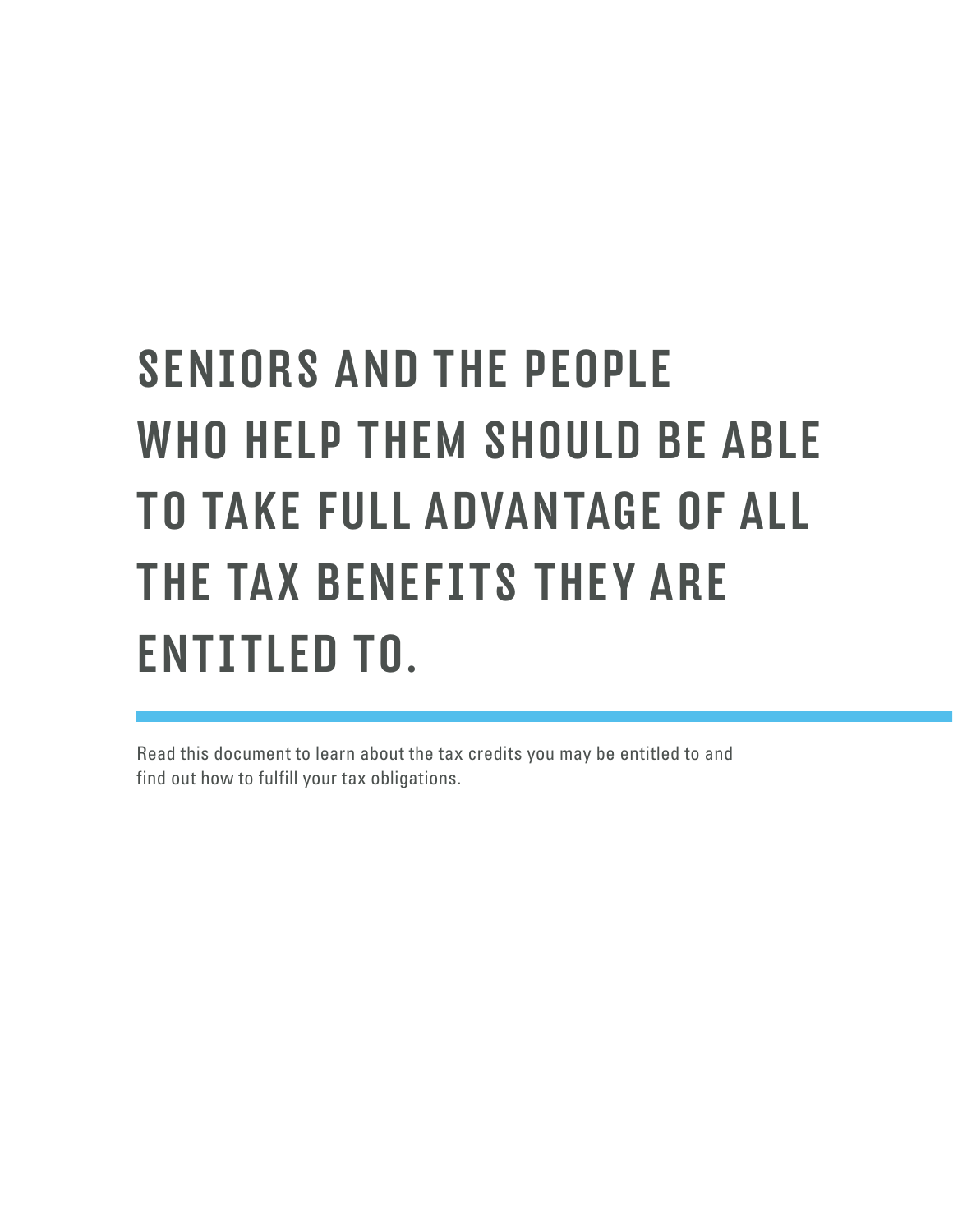# SENIORS AND THE PEOPLE WHO HELP THEM SHOULD BE ABLE TO TAKE FULL ADVANTAGE OF ALL THE TAX BENEFITS THEY ARE ENTITLED TO.

Read this document to learn about the tax credits you may be entitled to and find out how to fulfill your tax obligations.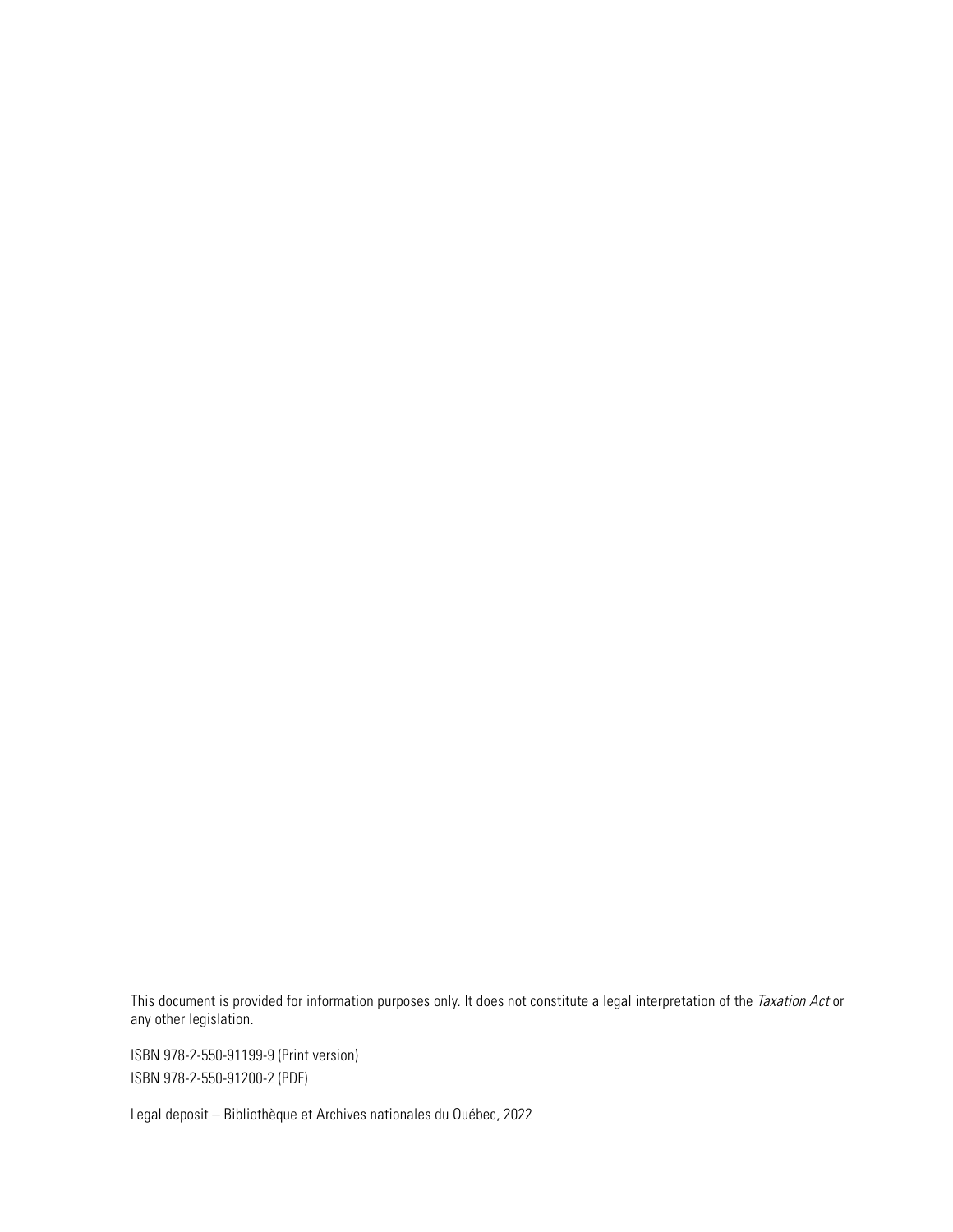This document is provided for information purposes only. It does not constitute a legal interpretation of the *Taxation Act* or any other legislation.

ISBN 978-2-550-91199-9 (Print version) ISBN 978-2-550-91200-2 (PDF)

Legal deposit – Bibliothèque et Archives nationales du Québec, 2022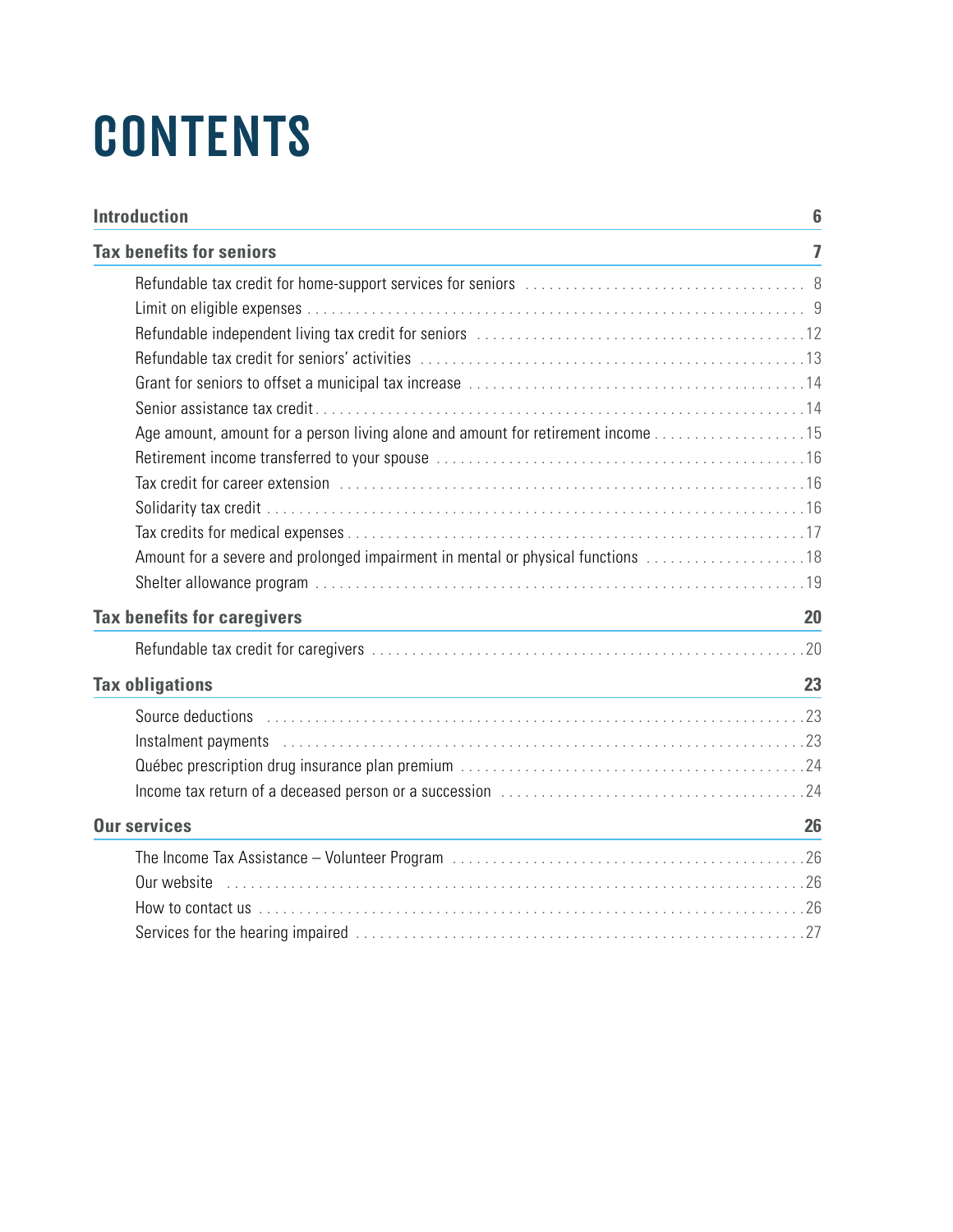# **CONTENTS**

| <b>Introduction</b>                                                                                                                                                                                                            |                |
|--------------------------------------------------------------------------------------------------------------------------------------------------------------------------------------------------------------------------------|----------------|
| <b>Tax benefits for seniors</b>                                                                                                                                                                                                | $\overline{1}$ |
|                                                                                                                                                                                                                                |                |
|                                                                                                                                                                                                                                |                |
|                                                                                                                                                                                                                                |                |
|                                                                                                                                                                                                                                |                |
|                                                                                                                                                                                                                                |                |
|                                                                                                                                                                                                                                |                |
| Age amount, amount for a person living alone and amount for retirement income 15                                                                                                                                               |                |
|                                                                                                                                                                                                                                |                |
|                                                                                                                                                                                                                                |                |
|                                                                                                                                                                                                                                |                |
|                                                                                                                                                                                                                                |                |
| Amount for a severe and prolonged impairment in mental or physical functions 18                                                                                                                                                |                |
|                                                                                                                                                                                                                                |                |
| <b>Tax benefits for caregivers</b>                                                                                                                                                                                             | 20             |
|                                                                                                                                                                                                                                |                |
| <b>Tax obligations</b><br><u> 1989 - Johann Stein, marwolaethau a bhann an t-Amhair an t-Amhair an t-Amhair an t-Amhair an t-Amhair an t-A</u>                                                                                 | 23             |
| Source deductions enterity and the contract of the deduction of the contract of the contract of the contract of the contract of the contract of the contract of the contract of the contract of the contract of the contract o |                |
| Instalment payments (Alternative Alternative Alternative Alternative Alternative Alternative Alternative Alternative Alternative Alternative Alternative Alternative Alternative Alternative Alternative Alternative Alternati |                |
|                                                                                                                                                                                                                                |                |
|                                                                                                                                                                                                                                |                |
| <b>Our services</b>                                                                                                                                                                                                            | 26             |
|                                                                                                                                                                                                                                |                |
| Our website                                                                                                                                                                                                                    |                |
| How to contact us with the control of the control of the control of the contact us to contact us to contact us                                                                                                                 |                |
|                                                                                                                                                                                                                                |                |
|                                                                                                                                                                                                                                |                |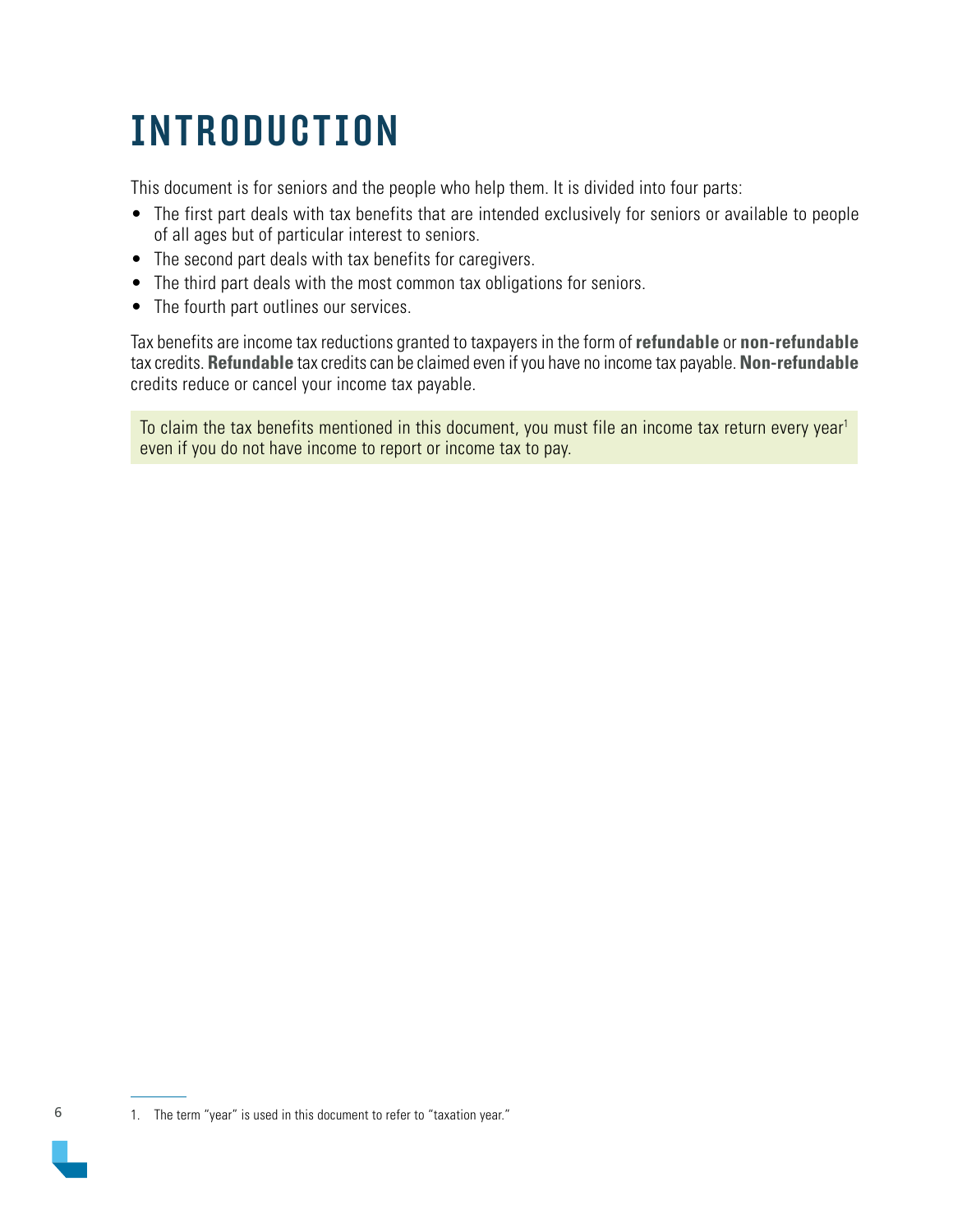# <span id="page-5-0"></span>INTRODUCTION

This document is for seniors and the people who help them. It is divided into four parts:

- The first part deals with tax benefits that are intended exclusively for seniors or available to people of all ages but of particular interest to seniors.
- The second part deals with tax benefits for caregivers.
- The third part deals with the most common tax obligations for seniors.
- The fourth part outlines our services.

Tax benefits are income tax reductions granted to taxpayers in the form of **refundable** or **non-refundable**  tax credits. **Refundable** tax credits can be claimed even if you have no income tax payable. **Non-refundable**  credits reduce or cancel your income tax payable.

To claim the tax benefits mentioned in this document, you must file an income tax return every year<sup>1</sup> even if you do not have income to report or income tax to pay.

<sup>1.</sup> The term "year" is used in this document to refer to "taxation year."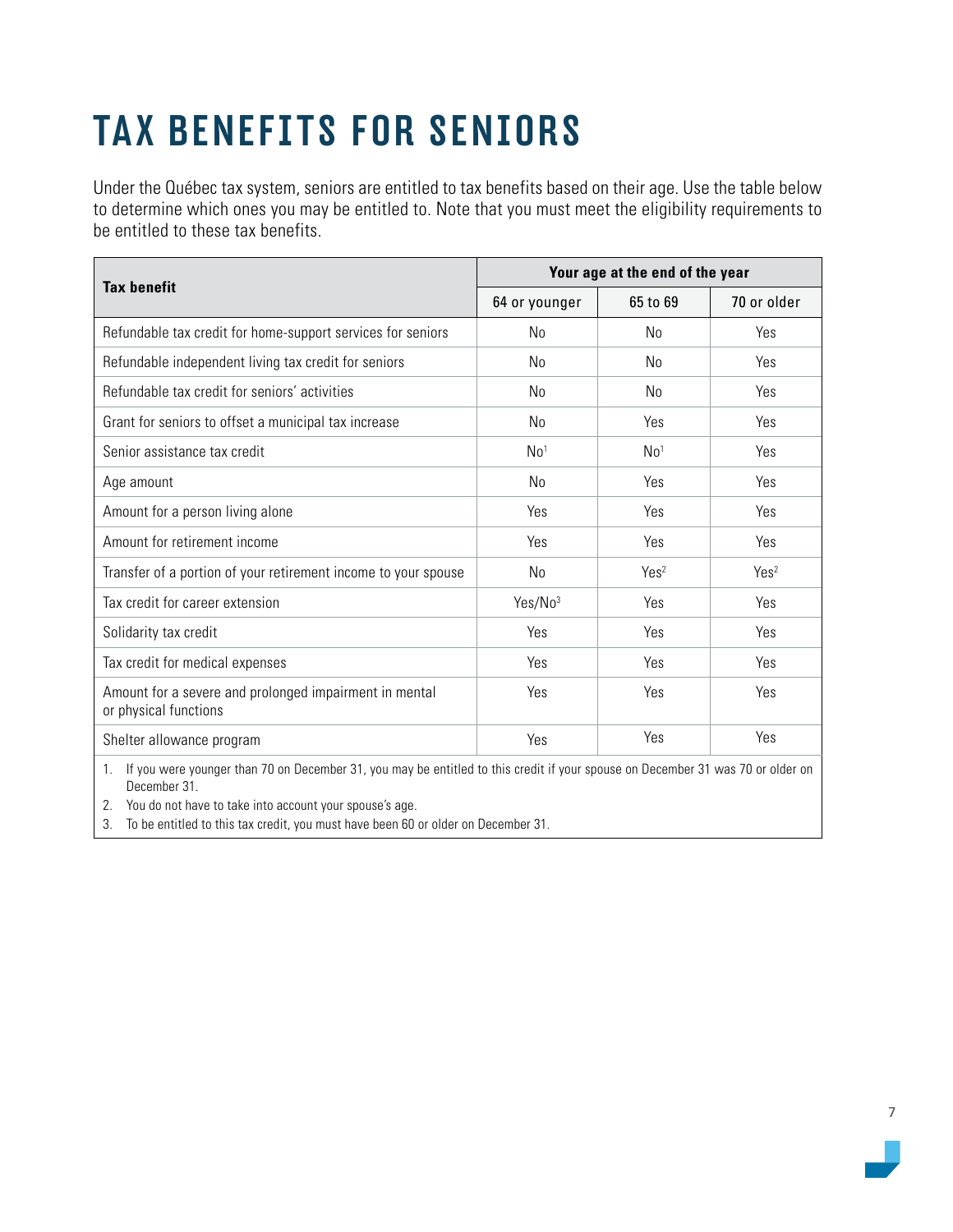# <span id="page-6-0"></span>TAX BENEFITS FOR SENIORS

Under the Québec tax system, seniors are entitled to tax benefits based on their age. Use the table below to determine which ones you may be entitled to. Note that you must meet the eligibility requirements to be entitled to these tax benefits.

|                                                                                                                                   | Your age at the end of the year |                  |                  |
|-----------------------------------------------------------------------------------------------------------------------------------|---------------------------------|------------------|------------------|
| <b>Tax benefit</b>                                                                                                                | 64 or younger                   | 65 to 69         | 70 or older      |
| Refundable tax credit for home-support services for seniors                                                                       | No                              | No               | Yes              |
| Refundable independent living tax credit for seniors                                                                              | No                              | N <sub>0</sub>   | Yes              |
| Refundable tax credit for seniors' activities                                                                                     | No                              | No               | Yes              |
| Grant for seniors to offset a municipal tax increase                                                                              | No                              | Yes              | Yes              |
| Senior assistance tax credit                                                                                                      | No <sup>1</sup>                 | No <sup>1</sup>  | Yes              |
| Age amount                                                                                                                        | No                              | Yes              | Yes              |
| Amount for a person living alone                                                                                                  | Yes                             | Yes              | Yes              |
| Amount for retirement income                                                                                                      | Yes                             | Yes              | Yes              |
| Transfer of a portion of your retirement income to your spouse                                                                    | No                              | Yes <sup>2</sup> | Yes <sup>2</sup> |
| Tax credit for career extension                                                                                                   | Yes/No3                         | Yes              | Yes              |
| Solidarity tax credit                                                                                                             | Yes                             | Yes              | Yes              |
| Tax credit for medical expenses                                                                                                   | Yes                             | Yes              | Yes              |
| Amount for a severe and prolonged impairment in mental<br>or physical functions                                                   | Yes                             | Yes              | Yes              |
| Shelter allowance program                                                                                                         | Yes                             | Yes              | Yes              |
| 1 If you were younger than 70 on December 31, you may be optitled to this credit if your spouse on December 31 was 70 or older on |                                 |                  |                  |

1. If you were younger than 70 on December 31, you may be entitled to this credit if your spouse on December 31 was 70 or older on December 31.

2. You do not have to take into account your spouse's age.

3. To be entitled to this tax credit, you must have been 60 or older on December 31.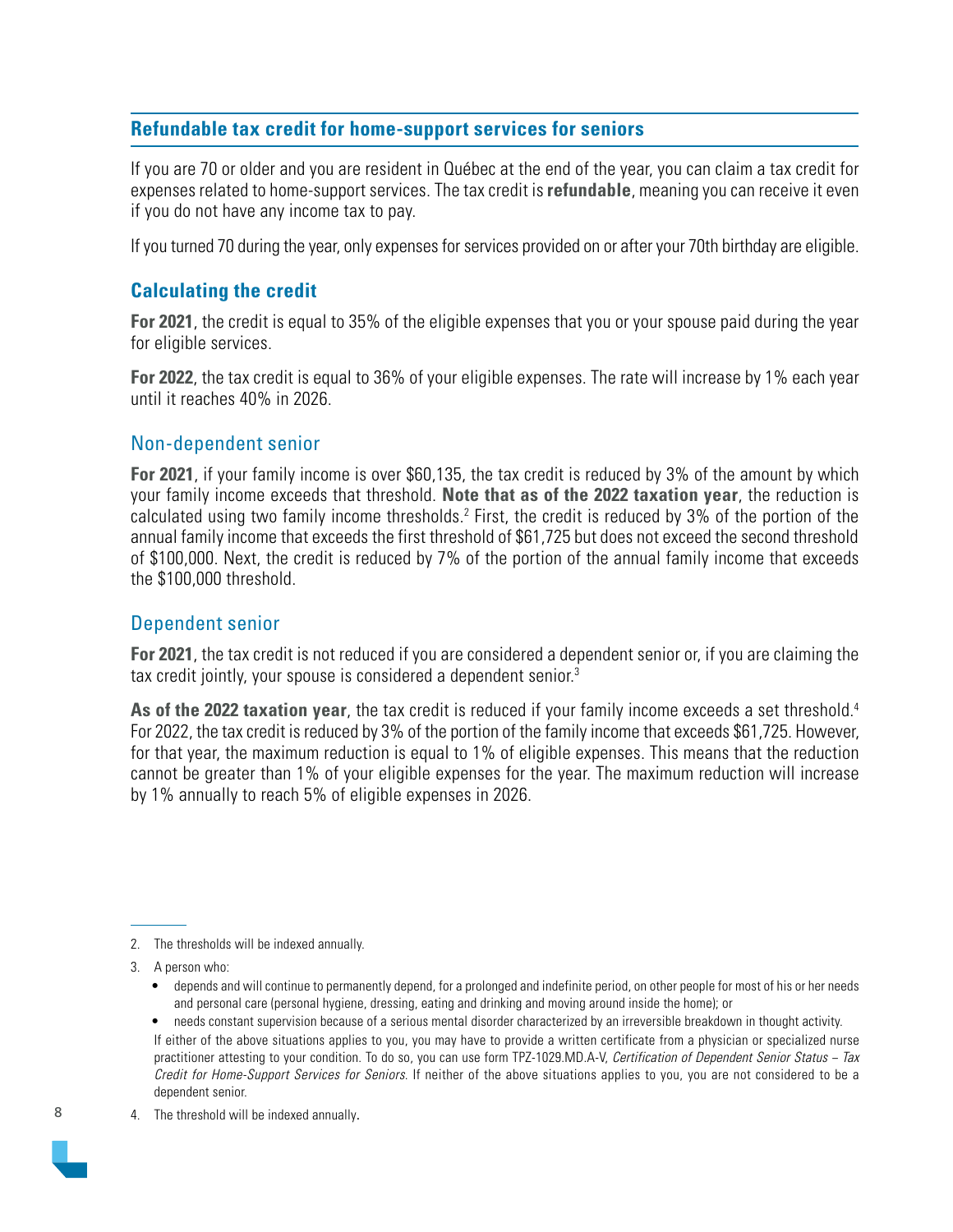#### <span id="page-7-0"></span>**Refundable tax credit for home-support services for seniors**

If you are 70 or older and you are resident in Québec at the end of the year, you can claim a tax credit for expenses related to home-support services. The tax credit is **refundable**, meaning you can receive it even if you do not have any income tax to pay.

If you turned 70 during the year, only expenses for services provided on or after your 70th birthday are eligible.

#### **Calculating the credit**

**For 2021**, the credit is equal to 35% of the eligible expenses that you or your spouse paid during the year for eligible services.

**For 2022**, the tax credit is equal to 36% of your eligible expenses. The rate will increase by 1% each year until it reaches 40% in 2026.

#### Non-dependent senior

**For 2021**, if your family income is over \$60,135, the tax credit is reduced by 3% of the amount by which your family income exceeds that threshold. **Note that as of the 2022 taxation year**, the reduction is calculated using two family income thresholds.<sup>2</sup> First, the credit is reduced by 3% of the portion of the annual family income that exceeds the first threshold of \$61,725 but does not exceed the second threshold of \$100,000. Next, the credit is reduced by 7% of the portion of the annual family income that exceeds the \$100,000 threshold.

#### Dependent senior

**For 2021**, the tax credit is not reduced if you are considered a dependent senior or, if you are claiming the tax credit jointly, your spouse is considered a dependent senior.3

**As of the 2022 taxation year**, the tax credit is reduced if your family income exceeds a set threshold.4 For 2022, the tax credit is reduced by 3% of the portion of the family income that exceeds \$61,725. However, for that year, the maximum reduction is equal to 1% of eligible expenses. This means that the reduction cannot be greater than 1% of your eligible expenses for the year. The maximum reduction will increase by 1% annually to reach 5% of eligible expenses in 2026.

- depends and will continue to permanently depend, for a prolonged and indefinite period, on other people for most of his or her needs and personal care (personal hygiene, dressing, eating and drinking and moving around inside the home); or
- needs constant supervision because of a serious mental disorder characterized by an irreversible breakdown in thought activity. If either of the above situations applies to you, you may have to provide a written certificate from a physician or specialized nurse practitioner attesting to your condition. To do so, you can use form TPZ-1029.MD.A-V, Certification of Dependent Senior Status − Tax Credit for Home-Support Services for Seniors. If neither of the above situations applies to you, you are not considered to be a dependent senior.
- 4. The threshold will be indexed annually.

<sup>2.</sup> The thresholds will be indexed annually.

<sup>3.</sup> A person who: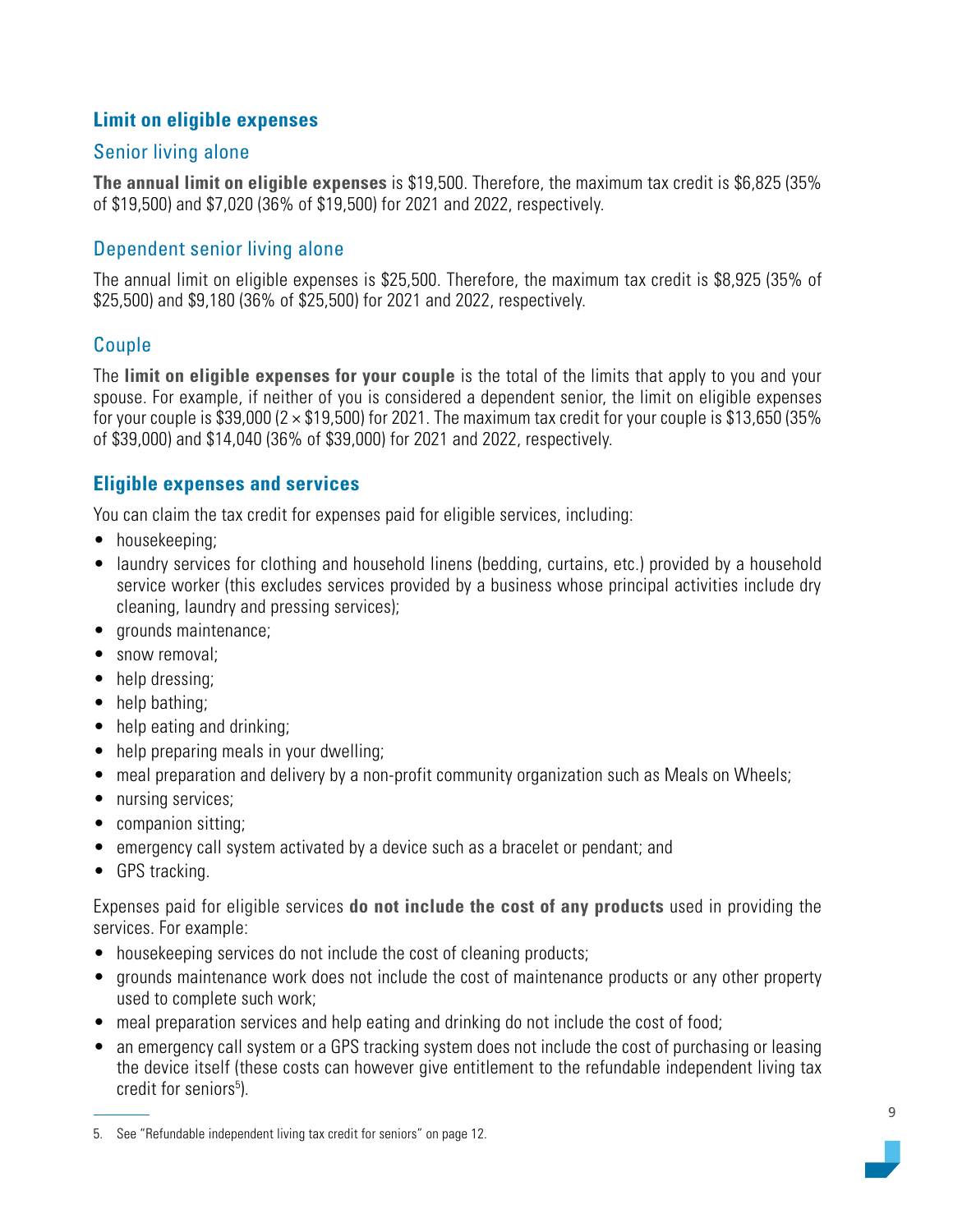### <span id="page-8-0"></span>**Limit on eligible expenses**

### Senior living alone

**The annual limit on eligible expenses** is \$19,500. Therefore, the maximum tax credit is \$6,825 (35% of \$19,500) and \$7,020 (36% of \$19,500) for 2021 and 2022, respectively.

# Dependent senior living alone

The annual limit on eligible expenses is \$25,500. Therefore, the maximum tax credit is \$8,925 (35% of \$25,500) and \$9,180 (36% of \$25,500) for 2021 and 2022, respectively.

# Couple

The **limit on eligible expenses for your couple** is the total of the limits that apply to you and your spouse. For example, if neither of you is considered a dependent senior, the limit on eligible expenses for your couple is \$39,000 ( $2 \times $19,500$ ) for 2021. The maximum tax credit for your couple is \$13,650 (35% of \$39,000) and \$14,040 (36% of \$39,000) for 2021 and 2022, respectively.

## **Eligible expenses and services**

You can claim the tax credit for expenses paid for eligible services, including:

- housekeeping;
- laundry services for clothing and household linens (bedding, curtains, etc.) provided by a household service worker (this excludes services provided by a business whose principal activities include dry cleaning, laundry and pressing services);
- grounds maintenance;
- snow removal;
- help dressing:
- help bathing;
- help eating and drinking;
- help preparing meals in your dwelling;
- meal preparation and delivery by a non-profit community organization such as Meals on Wheels;
- nursing services;
- companion sitting;
- emergency call system activated by a device such as a bracelet or pendant; and
- GPS tracking.

Expenses paid for eligible services **do not include the cost of any products** used in providing the services. For example:

- housekeeping services do not include the cost of cleaning products;
- grounds maintenance work does not include the cost of maintenance products or any other property used to complete such work;
- meal preparation services and help eating and drinking do not include the cost of food;
- an emergency call system or a GPS tracking system does not include the cost of purchasing or leasing the device itself (these costs can however give entitlement to the refundable independent living tax credit for seniors<sup>5</sup>).

<sup>5.</sup> See "Refundable independent living tax credit for seniors" on page 12.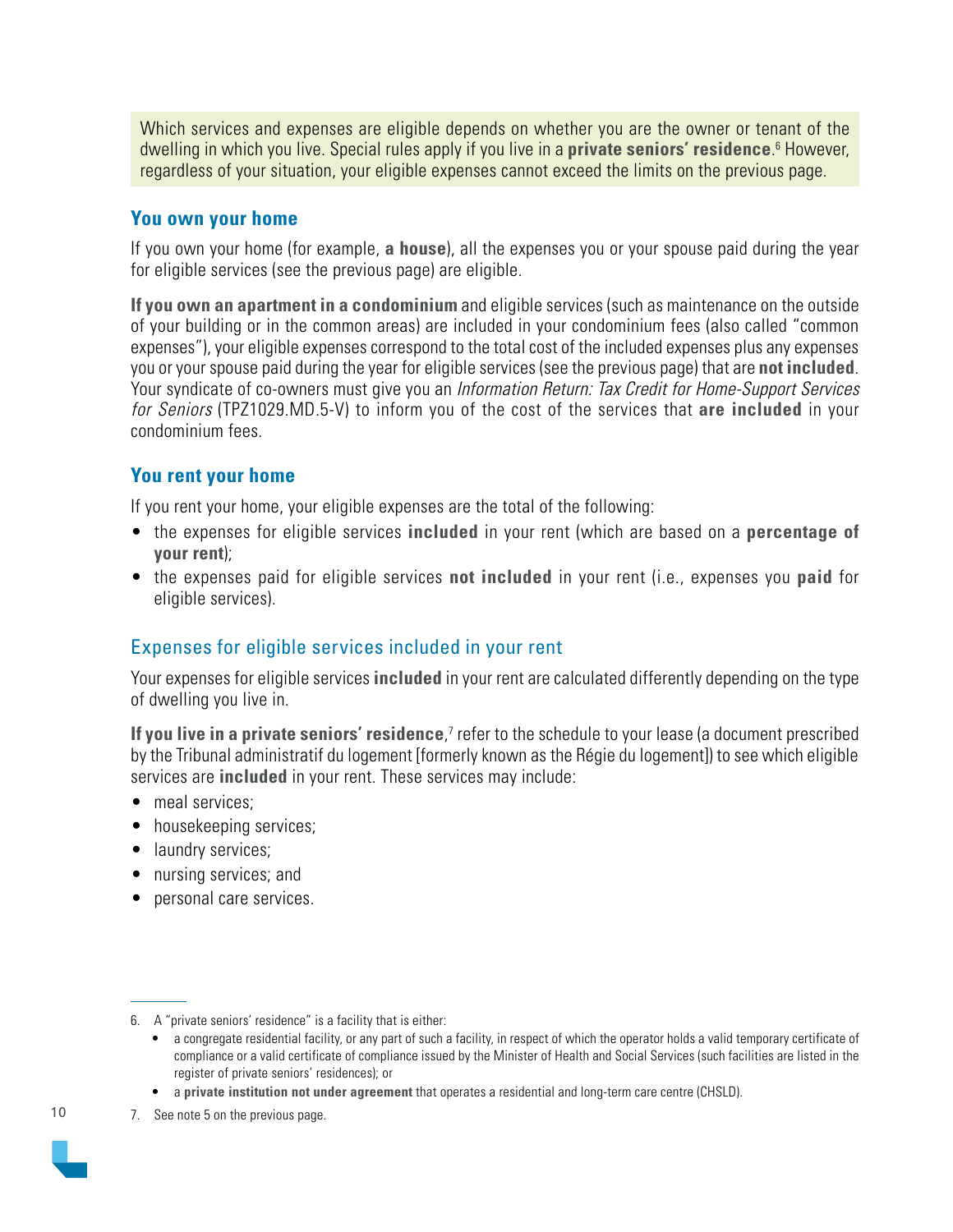Which services and expenses are eligible depends on whether you are the owner or tenant of the dwelling in which you live. Special rules apply if you live in a **private seniors' residence**. 6 However, regardless of your situation, your eligible expenses cannot exceed the limits on the previous page.

#### **You own your home**

If you own your home (for example, **a house**), all the expenses you or your spouse paid during the year for eligible services (see the previous page) are eligible.

**If you own an apartment in a condominium** and eligible services (such as maintenance on the outside of your building or in the common areas) are included in your condominium fees (also called "common expenses"), your eligible expenses correspond to the total cost of the included expenses plus any expenses you or your spouse paid during the year for eligible services (see the previous page) that are **not included**. Your syndicate of co-owners must give you an Information Return: Tax Credit for Home-Support Services for Seniors (TPZ1029.MD.5-V) to inform you of the cost of the services that **are included** in your condominium fees.

#### **You rent your home**

If you rent your home, your eligible expenses are the total of the following:

- the expenses for eligible services **included** in your rent (which are based on a **percentage of your rent**);
- the expenses paid for eligible services **not included** in your rent (i.e., expenses you **paid** for eligible services).

### Expenses for eligible services included in your rent

Your expenses for eligible services **included** in your rent are calculated differently depending on the type of dwelling you live in.

**If you live in a private seniors' residence**,<sup>7</sup> refer to the schedule to your lease (a document prescribed by the Tribunal administratif du logement [formerly known as the Régie du logement]) to see which eligible services are **included** in your rent. These services may include:

- meal services:
- housekeeping services;
- laundry services;
- nursing services; and
- personal care services.

7. See note 5 on the previous page.



<sup>6.</sup> A "private seniors' residence" is a facility that is either:

<sup>•</sup> a congregate residential facility, or any part of such a facility, in respect of which the operator holds a valid temporary certificate of compliance or a valid certificate of compliance issued by the Minister of Health and Social Services (such facilities are listed in the register of private seniors' residences); or

<sup>•</sup> a **private institution not under agreement** that operates a residential and long-term care centre (CHSLD).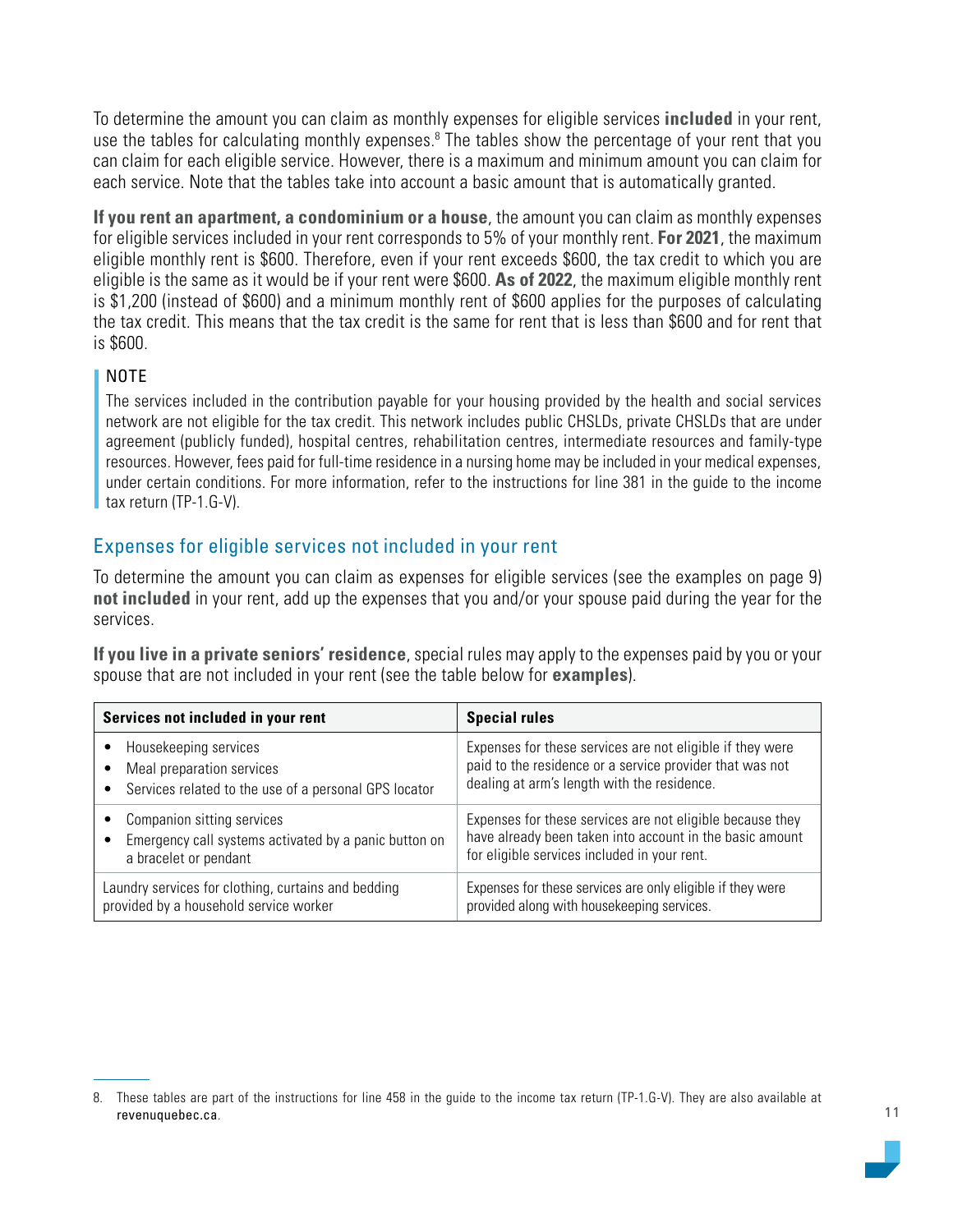To determine the amount you can claim as monthly expenses for eligible services **included** in your rent, use the tables for calculating monthly expenses.<sup>8</sup> The tables show the percentage of your rent that you can claim for each eligible service. However, there is a maximum and minimum amount you can claim for each service. Note that the tables take into account a basic amount that is automatically granted.

**If you rent an apartment, a condominium or a house**, the amount you can claim as monthly expenses for eligible services included in your rent corresponds to 5% of your monthly rent. **For 2021**, the maximum eligible monthly rent is \$600. Therefore, even if your rent exceeds \$600, the tax credit to which you are eligible is the same as it would be if your rent were \$600. **As of 2022**, the maximum eligible monthly rent is \$1,200 (instead of \$600) and a minimum monthly rent of \$600 applies for the purposes of calculating the tax credit. This means that the tax credit is the same for rent that is less than \$600 and for rent that is \$600.

#### NOTE

The services included in the contribution payable for your housing provided by the health and social services network are not eligible for the tax credit. This network includes public CHSLDs, private CHSLDs that are under agreement (publicly funded), hospital centres, rehabilitation centres, intermediate resources and family-type resources. However, fees paid for full-time residence in a nursing home may be included in your medical expenses, under certain conditions. For more information, refer to the instructions for line 381 in the guide to the income tax return (TP-1.G-V).

#### Expenses for eligible services not included in your rent

To determine the amount you can claim as expenses for eligible services (see the examples on page 9) **not included** in your rent, add up the expenses that you and/or your spouse paid during the year for the services.

**If you live in a private seniors' residence**, special rules may apply to the expenses paid by you or your spouse that are not included in your rent (see the table below for **examples**).

| Services not included in your rent                    | <b>Special rules</b>                                       |
|-------------------------------------------------------|------------------------------------------------------------|
| Housekeeping services                                 | Expenses for these services are not eligible if they were  |
| Meal preparation services                             | paid to the residence or a service provider that was not   |
| Services related to the use of a personal GPS locator | dealing at arm's length with the residence.                |
| Companion sitting services                            | Expenses for these services are not eligible because they  |
| Emergency call systems activated by a panic button on | have already been taken into account in the basic amount   |
| a bracelet or pendant                                 | for eligible services included in your rent.               |
| Laundry services for clothing, curtains and bedding   | Expenses for these services are only eligible if they were |
| provided by a household service worker                | provided along with housekeeping services.                 |

<sup>8.</sup> These tables are part of the instructions for line 458 in the guide to the income tax return (TP-1.G-V). They are also available at [revenuquebec.ca](https://www.revenuquebec.ca/en/).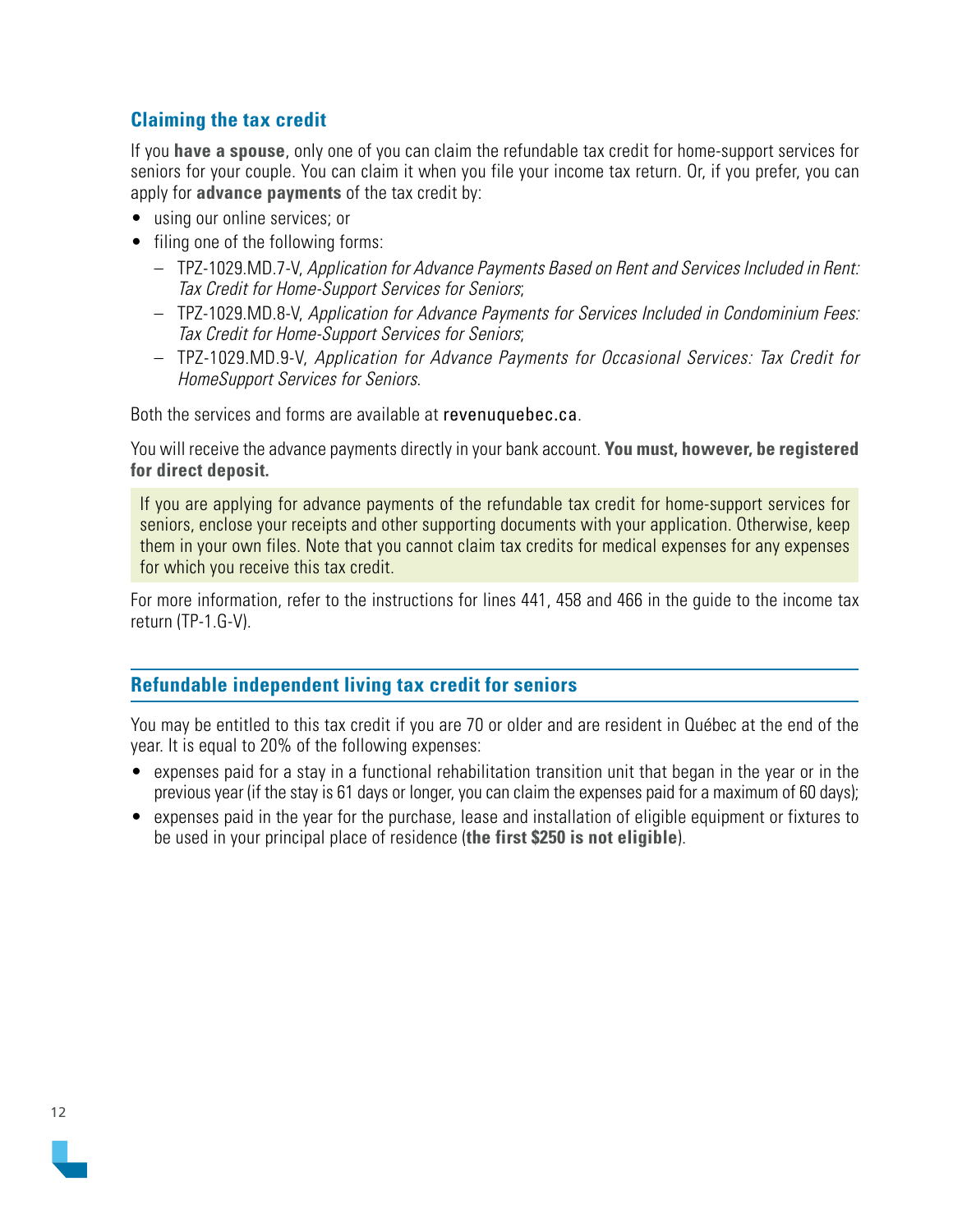#### <span id="page-11-0"></span>**Claiming the tax credit**

If you **have a spouse**, only one of you can claim the refundable tax credit for home-support services for seniors for your couple. You can claim it when you file your income tax return. Or, if you prefer, you can apply for **advance payments** of the tax credit by:

- using our online services; or
- filing one of the following forms:
	- TPZ-1029.MD.7-V, Application for Advance Payments Based on Rent and Services Included in Rent: Tax Credit for Home-Support Services for Seniors;
	- TPZ-1029.MD.8-V, Application for Advance Payments for Services Included in Condominium Fees: Tax Credit for Home-Support Services for Seniors;
	- TPZ-1029.MD.9-V, Application for Advance Payments for Occasional Services: Tax Credit for HomeSupport Services for Seniors.

Both the services and forms are available at [revenuquebec.ca](https://www.revenuquebec.ca/en/).

You will receive the advance payments directly in your bank account. **You must, however, be registered for direct deposit.**

If you are applying for advance payments of the refundable tax credit for home-support services for seniors, enclose your receipts and other supporting documents with your application. Otherwise, keep them in your own files. Note that you cannot claim tax credits for medical expenses for any expenses for which you receive this tax credit.

For more information, refer to the instructions for lines 441, 458 and 466 in the guide to the income tax return (TP-1.G-V).

#### **Refundable independent living tax credit for seniors**

You may be entitled to this tax credit if you are 70 or older and are resident in Québec at the end of the year. It is equal to 20% of the following expenses:

- expenses paid for a stay in a functional rehabilitation transition unit that began in the year or in the previous year (if the stay is 61 days or longer, you can claim the expenses paid for a maximum of 60 days);
- expenses paid in the year for the purchase, lease and installation of eligible equipment or fixtures to be used in your principal place of residence (**the first \$250 is not eligible**).

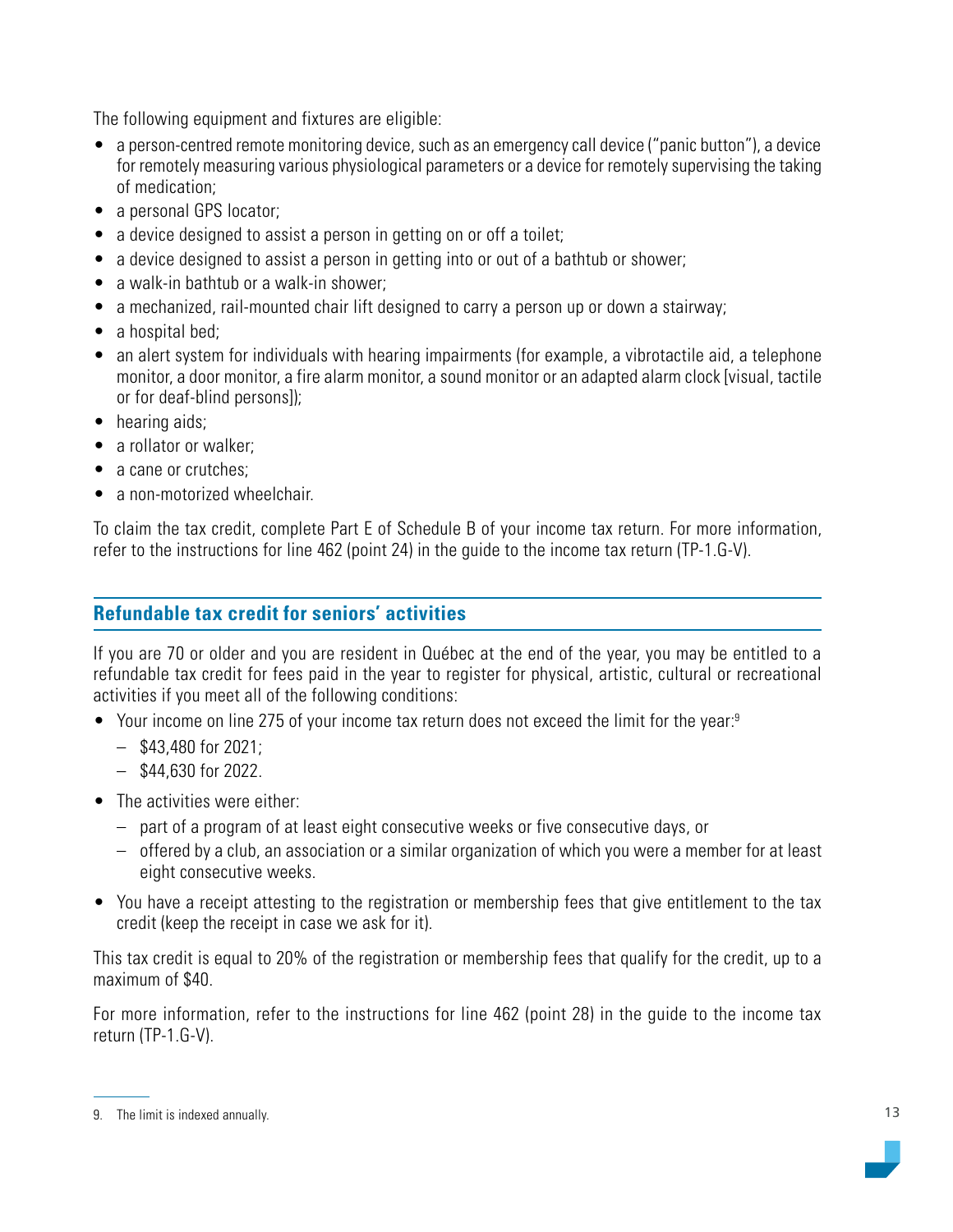<span id="page-12-0"></span>The following equipment and fixtures are eligible:

- a person-centred remote monitoring device, such as an emergency call device ("panic button"), a device for remotely measuring various physiological parameters or a device for remotely supervising the taking of medication;
- a personal GPS locator;
- a device designed to assist a person in getting on or off a toilet;
- a device designed to assist a person in getting into or out of a bathtub or shower;
- a walk-in bathtub or a walk-in shower;
- a mechanized, rail-mounted chair lift designed to carry a person up or down a stairway;
- a hospital bed;
- an alert system for individuals with hearing impairments (for example, a vibrotactile aid, a telephone monitor, a door monitor, a fire alarm monitor, a sound monitor or an adapted alarm clock [visual, tactile or for deaf-blind persons]);
- hearing aids;
- a rollator or walker;
- a cane or crutches;
- a non-motorized wheelchair.

To claim the tax credit, complete Part E of Schedule B of your income tax return. For more information, refer to the instructions for line 462 (point 24) in the guide to the income tax return (TP-1.G-V).

### **Refundable tax credit for seniors' activities**

If you are 70 or older and you are resident in Québec at the end of the year, you may be entitled to a refundable tax credit for fees paid in the year to register for physical, artistic, cultural or recreational activities if you meet all of the following conditions:

- Your income on line 275 of your income tax return does not exceed the limit for the year:<sup>9</sup>
	- $-$  \$43,480 for 2021;
	- \$44,630 for 2022.
- The activities were either:
	- part of a program of at least eight consecutive weeks or five consecutive days, or
	- offered by a club, an association or a similar organization of which you were a member for at least eight consecutive weeks.
- You have a receipt attesting to the registration or membership fees that give entitlement to the tax credit (keep the receipt in case we ask for it).

This tax credit is equal to 20% of the registration or membership fees that qualify for the credit, up to a maximum of \$40.

For more information, refer to the instructions for line 462 (point 28) in the guide to the income tax return (TP-1.G-V).

<sup>9.</sup> The limit is indexed annually.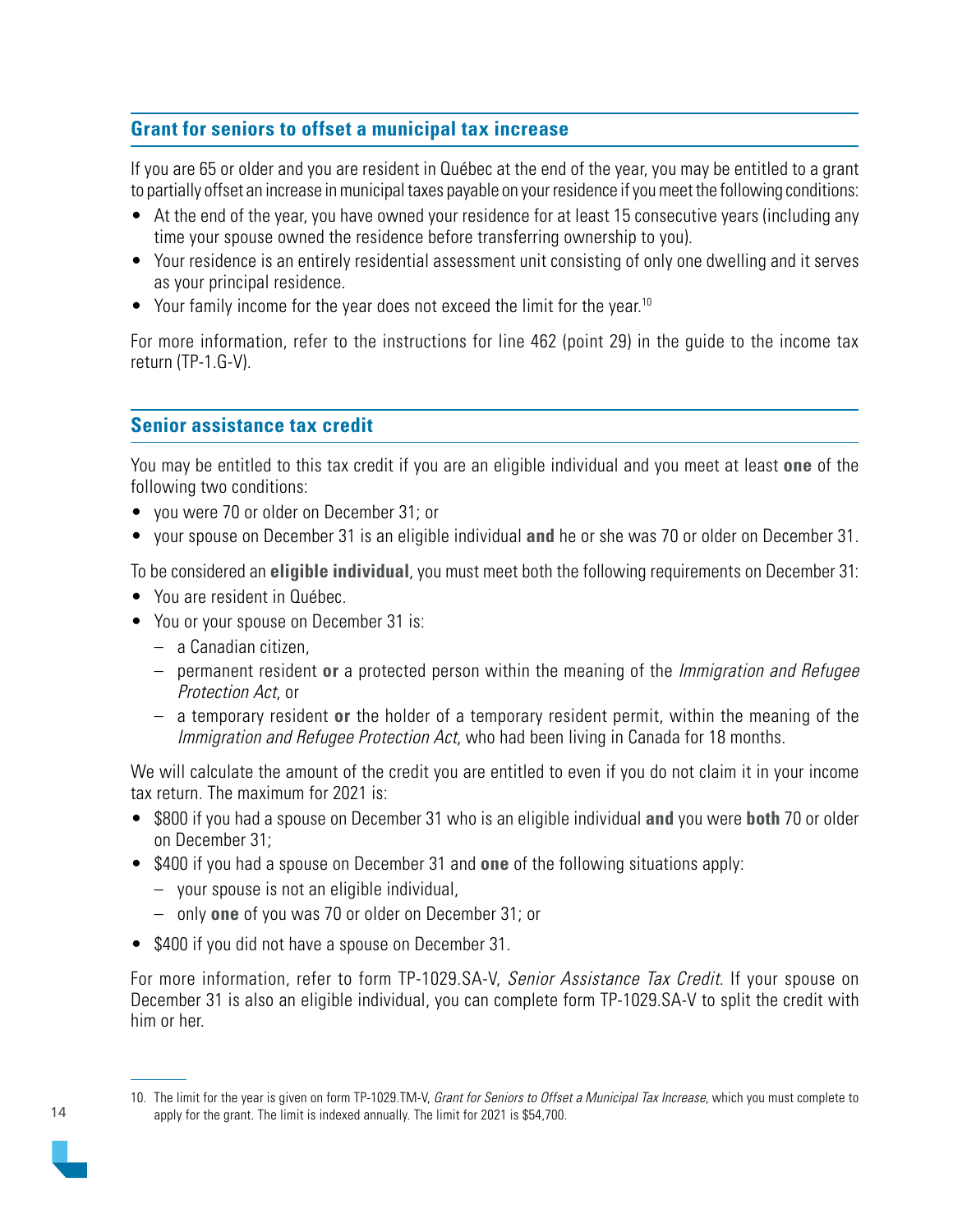## <span id="page-13-0"></span>**Grant for seniors to offset a municipal tax increase**

If you are 65 or older and you are resident in Québec at the end of the year, you may be entitled to a grant to partially offset an increase in municipal taxes payable on your residence if you meet the following conditions:

- At the end of the year, you have owned your residence for at least 15 consecutive years (including any time your spouse owned the residence before transferring ownership to you).
- Your residence is an entirely residential assessment unit consisting of only one dwelling and it serves as your principal residence.
- Your family income for the year does not exceed the limit for the year.<sup>10</sup>

For more information, refer to the instructions for line 462 (point 29) in the guide to the income tax return (TP-1.G-V).

#### **Senior assistance tax credit**

You may be entitled to this tax credit if you are an eligible individual and you meet at least **one** of the following two conditions:

- you were 70 or older on December 31; or
- your spouse on December 31 is an eligible individual **and** he or she was 70 or older on December 31.

To be considered an **eligible individual**, you must meet both the following requirements on December 31:

- You are resident in Québec.
- You or your spouse on December 31 is:
	- a Canadian citizen,
	- permanent resident **or** a protected person within the meaning of the Immigration and Refugee Protection Act, or
	- a temporary resident **or** the holder of a temporary resident permit, within the meaning of the Immigration and Refugee Protection Act, who had been living in Canada for 18 months.

We will calculate the amount of the credit you are entitled to even if you do not claim it in your income tax return. The maximum for 2021 is:

- \$800 if you had a spouse on December 31 who is an eligible individual **and** you were **both** 70 or older on December 31;
- \$400 if you had a spouse on December 31 and **one** of the following situations apply:
	- your spouse is not an eligible individual,
	- only **one** of you was 70 or older on December 31; or
- \$400 if you did not have a spouse on December 31.

For more information, refer to form TP-1029.SA-V, Senior Assistance Tax Credit. If your spouse on December 31 is also an eligible individual, you can complete form TP-1029.SA-V to split the credit with him or her.

<sup>10.</sup> The limit for the year is given on form TP-1029.TM-V, Grant for Seniors to Offset a Municipal Tax Increase, which you must complete to apply for the grant. The limit is indexed annually. The limit for 2021 is \$54,700.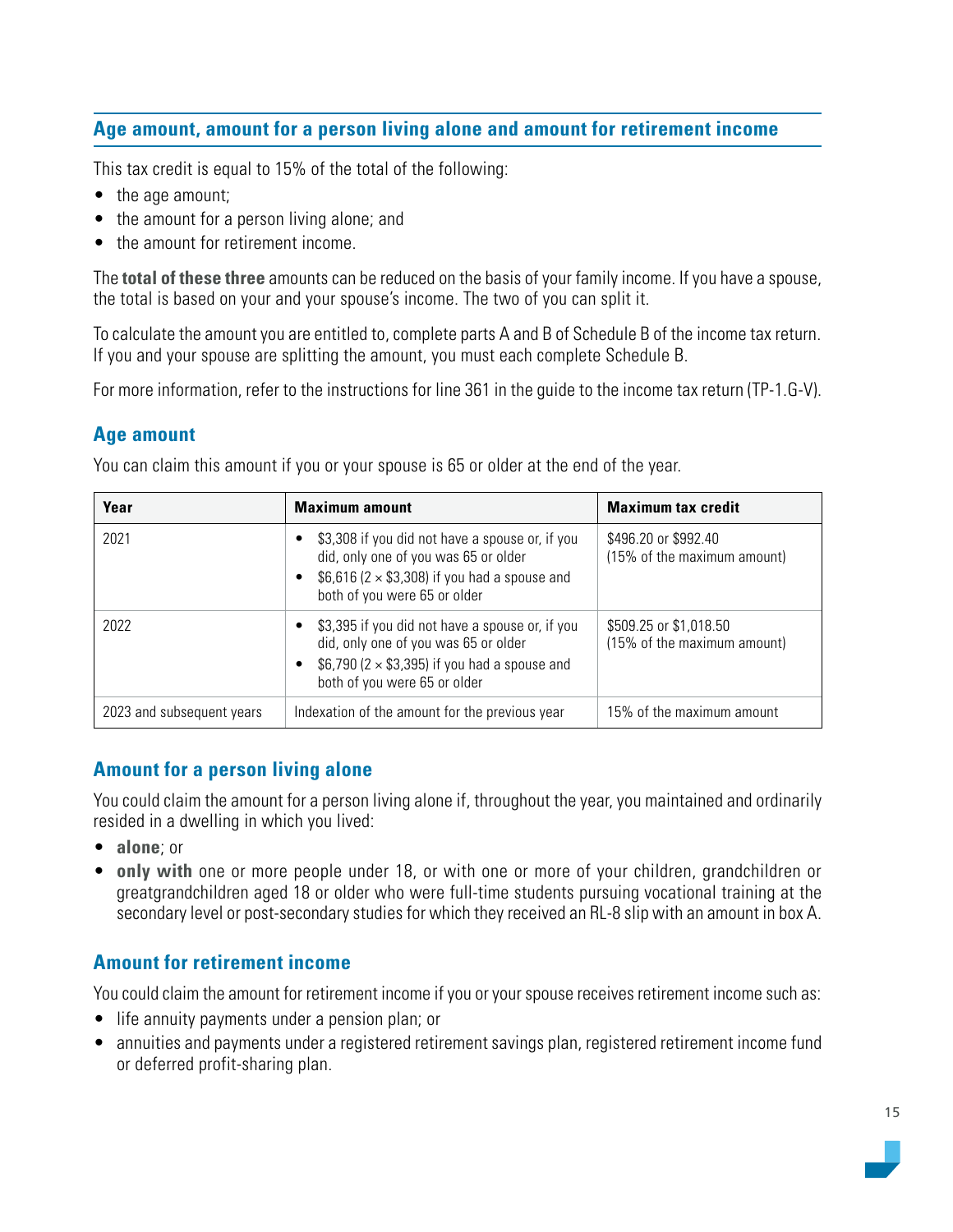### <span id="page-14-0"></span>**Age amount, amount for a person living alone and amount for retirement income**

This tax credit is equal to 15% of the total of the following:

- the age amount;
- the amount for a person living alone; and
- the amount for retirement income.

The **total of these three** amounts can be reduced on the basis of your family income. If you have a spouse, the total is based on your and your spouse's income. The two of you can split it.

To calculate the amount you are entitled to, complete parts A and B of Schedule B of the income tax return. If you and your spouse are splitting the amount, you must each complete Schedule B.

For more information, refer to the instructions for line 361 in the guide to the income tax return (TP-1.G-V).

#### **Age amount**

You can claim this amount if you or your spouse is 65 or older at the end of the year.

| Year                      | <b>Maximum amount</b>                                                                                                                                                                | <b>Maximum tax credit</b>                             |
|---------------------------|--------------------------------------------------------------------------------------------------------------------------------------------------------------------------------------|-------------------------------------------------------|
| 2021                      | \$3,308 if you did not have a spouse or, if you<br>did, only one of you was 65 or older<br>• $$6,616$ (2 $\times$ \$3,308) if you had a spouse and<br>both of you were 65 or older   | \$496.20 or \$992.40<br>(15% of the maximum amount)   |
| 2022                      | • \$3,395 if you did not have a spouse or, if you<br>did, only one of you was 65 or older<br>• \$6,790 ( $2 \times$ \$3,395) if you had a spouse and<br>both of you were 65 or older | \$509.25 or \$1,018.50<br>(15% of the maximum amount) |
| 2023 and subsequent years | Indexation of the amount for the previous year                                                                                                                                       | 15% of the maximum amount                             |

#### **Amount for a person living alone**

You could claim the amount for a person living alone if, throughout the year, you maintained and ordinarily resided in a dwelling in which you lived:

- **alone**; or
- **only with** one or more people under 18, or with one or more of your children, grandchildren or greatgrandchildren aged 18 or older who were full-time students pursuing vocational training at the secondary level or post-secondary studies for which they received an RL-8 slip with an amount in box A.

#### **Amount for retirement income**

You could claim the amount for retirement income if you or your spouse receives retirement income such as:

- life annuity payments under a pension plan; or
- annuities and payments under a registered retirement savings plan, registered retirement income fund or deferred profit-sharing plan.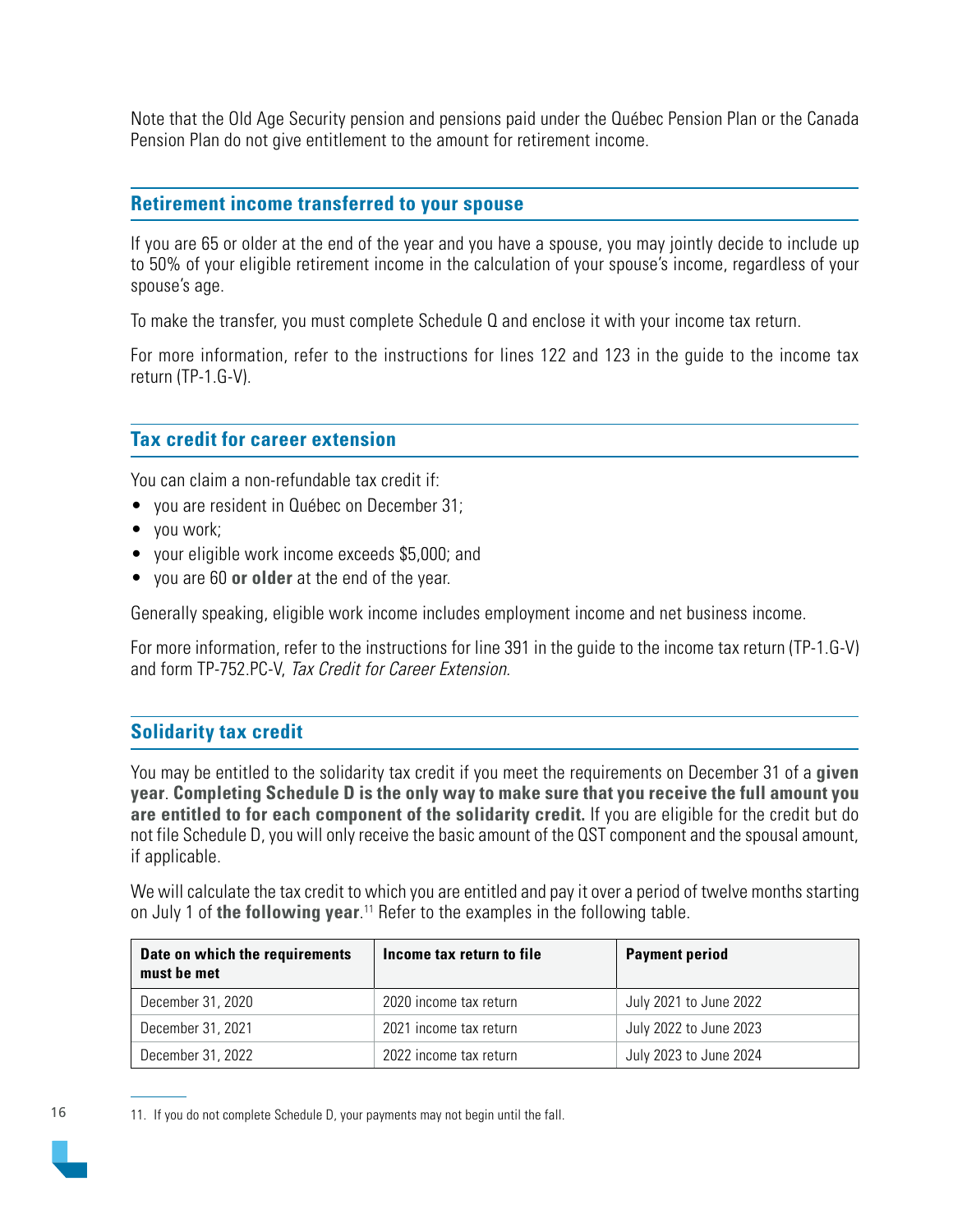<span id="page-15-0"></span>Note that the Old Age Security pension and pensions paid under the Québec Pension Plan or the Canada Pension Plan do not give entitlement to the amount for retirement income.

#### **Retirement income transferred to your spouse**

If you are 65 or older at the end of the year and you have a spouse, you may jointly decide to include up to 50% of your eligible retirement income in the calculation of your spouse's income, regardless of your spouse's age.

To make the transfer, you must complete Schedule Q and enclose it with your income tax return.

For more information, refer to the instructions for lines 122 and 123 in the guide to the income tax return (TP-1.G-V).

#### **Tax credit for career extension**

You can claim a non-refundable tax credit if:

- you are resident in Québec on December 31;
- you work;
- your eligible work income exceeds \$5,000; and
- you are 60 **or older** at the end of the year.

Generally speaking, eligible work income includes employment income and net business income.

For more information, refer to the instructions for line 391 in the guide to the income tax return (TP-1.G-V) and form TP-752.PC-V, Tax Credit for Career Extension.

#### **Solidarity tax credit**

You may be entitled to the solidarity tax credit if you meet the requirements on December 31 of a **given year**. **Completing Schedule D is the only way to make sure that you receive the full amount you are entitled to for each component of the solidarity credit.** If you are eligible for the credit but do not file Schedule D, you will only receive the basic amount of the QST component and the spousal amount, if applicable.

We will calculate the tax credit to which you are entitled and pay it over a period of twelve months starting on July 1 of **the following year**. 11 Refer to the examples in the following table.

| Date on which the requirements<br>must be met | Income tax return to file | <b>Payment period</b>  |
|-----------------------------------------------|---------------------------|------------------------|
| December 31, 2020                             | 2020 income tax return    | July 2021 to June 2022 |
| December 31, 2021                             | 2021 income tax return    | July 2022 to June 2023 |
| December 31, 2022                             | 2022 income tax return    | July 2023 to June 2024 |

16

<sup>11.</sup> If you do not complete Schedule D, your payments may not begin until the fall.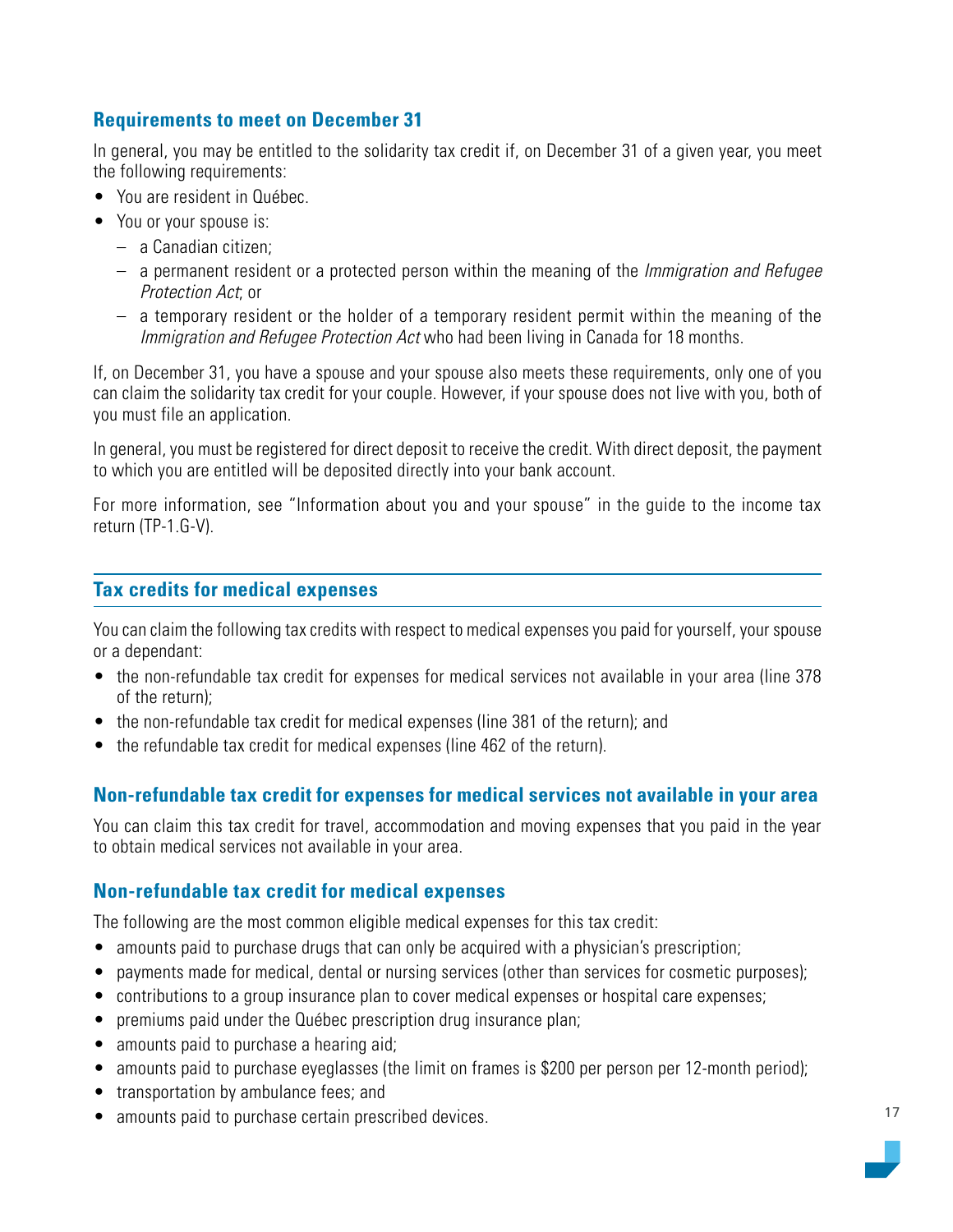#### <span id="page-16-0"></span>**Requirements to meet on December 31**

In general, you may be entitled to the solidarity tax credit if, on December 31 of a given year, you meet the following requirements:

- You are resident in Québec.
- You or your spouse is:
	- a Canadian citizen;
	- $-$  a permanent resident or a protected person within the meaning of the *Immigration and Refugee* Protection Act; or
	- a temporary resident or the holder of a temporary resident permit within the meaning of the Immigration and Refugee Protection Act who had been living in Canada for 18 months.

If, on December 31, you have a spouse and your spouse also meets these requirements, only one of you can claim the solidarity tax credit for your couple. However, if your spouse does not live with you, both of you must file an application.

In general, you must be registered for direct deposit to receive the credit. With direct deposit, the payment to which you are entitled will be deposited directly into your bank account.

For more information, see "Information about you and your spouse" in the guide to the income tax return (TP-1.G-V).

#### **Tax credits for medical expenses**

You can claim the following tax credits with respect to medical expenses you paid for yourself, your spouse or a dependant:

- the non-refundable tax credit for expenses for medical services not available in your area (line 378 of the return);
- the non-refundable tax credit for medical expenses (line 381 of the return); and
- the refundable tax credit for medical expenses (line 462 of the return).

#### **Non-refundable tax credit for expenses for medical services not available in your area**

You can claim this tax credit for travel, accommodation and moving expenses that you paid in the year to obtain medical services not available in your area.

#### **Non-refundable tax credit for medical expenses**

The following are the most common eligible medical expenses for this tax credit:

- amounts paid to purchase drugs that can only be acquired with a physician's prescription;
- payments made for medical, dental or nursing services (other than services for cosmetic purposes);
- contributions to a group insurance plan to cover medical expenses or hospital care expenses;
- premiums paid under the Québec prescription drug insurance plan;
- amounts paid to purchase a hearing aid;
- amounts paid to purchase eyeglasses (the limit on frames is \$200 per person per 12-month period);
- transportation by ambulance fees; and
- amounts paid to purchase certain prescribed devices.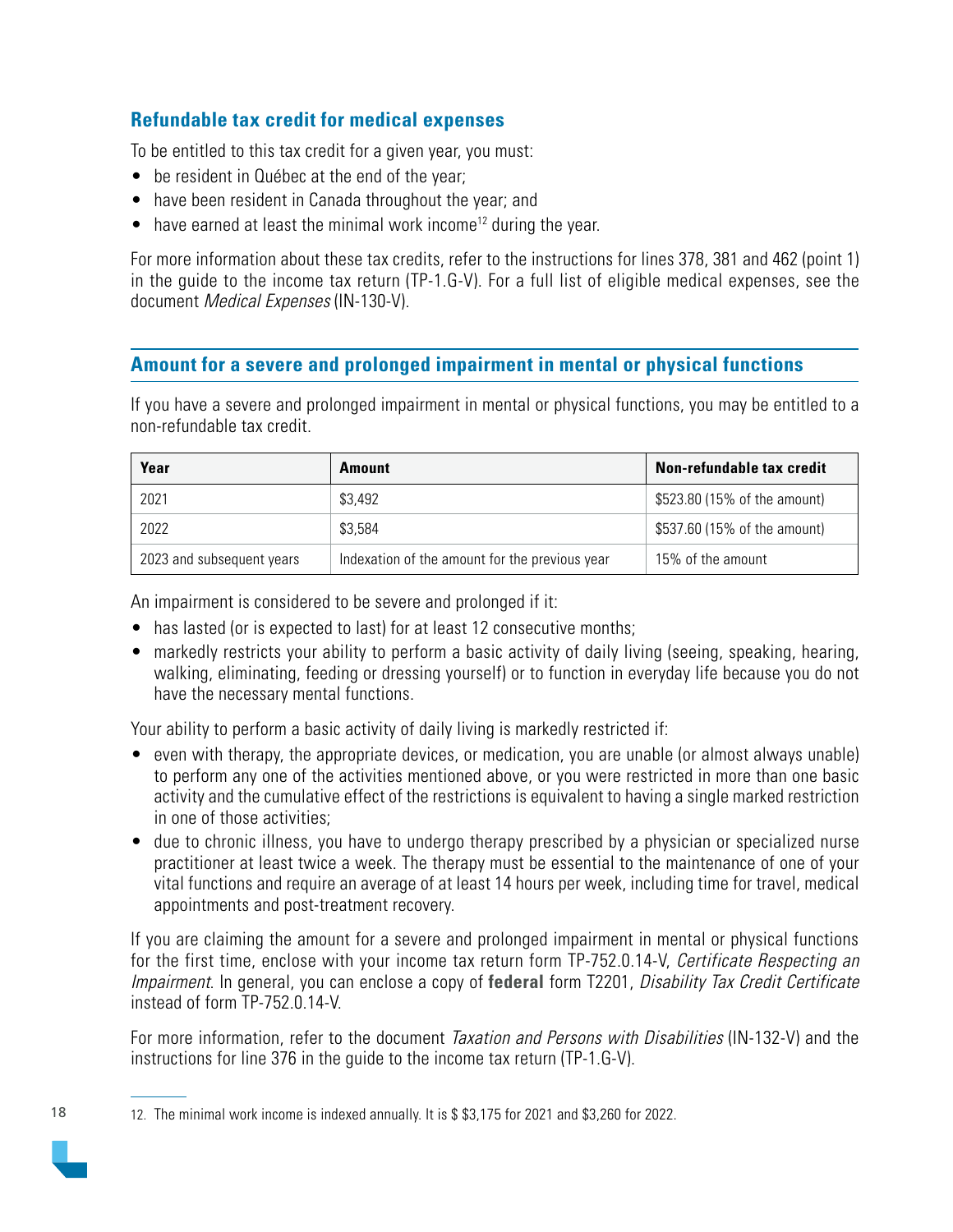#### <span id="page-17-0"></span>**Refundable tax credit for medical expenses**

To be entitled to this tax credit for a given year, you must:

- be resident in Québec at the end of the year;
- have been resident in Canada throughout the year; and
- have earned at least the minimal work income<sup>12</sup> during the year.

For more information about these tax credits, refer to the instructions for lines 378, 381 and 462 (point 1) in the guide to the income tax return (TP-1.G-V). For a full list of eligible medical expenses, see the document Medical Expenses (IN-130-V).

#### **Amount for a severe and prolonged impairment in mental or physical functions**

If you have a severe and prolonged impairment in mental or physical functions, you may be entitled to a non-refundable tax credit.

| Year                      | <b>Amount</b>                                  | Non-refundable tax credit    |
|---------------------------|------------------------------------------------|------------------------------|
| 2021                      | \$3,492                                        | \$523.80 (15% of the amount) |
| 2022                      | \$3.584                                        | \$537.60 (15% of the amount) |
| 2023 and subsequent years | Indexation of the amount for the previous year | 15% of the amount            |

An impairment is considered to be severe and prolonged if it:

- has lasted (or is expected to last) for at least 12 consecutive months;
- markedly restricts your ability to perform a basic activity of daily living (seeing, speaking, hearing, walking, eliminating, feeding or dressing yourself) or to function in everyday life because you do not have the necessary mental functions.

Your ability to perform a basic activity of daily living is markedly restricted if:

- even with therapy, the appropriate devices, or medication, you are unable (or almost always unable) to perform any one of the activities mentioned above, or you were restricted in more than one basic activity and the cumulative effect of the restrictions is equivalent to having a single marked restriction in one of those activities;
- due to chronic illness, you have to undergo therapy prescribed by a physician or specialized nurse practitioner at least twice a week. The therapy must be essential to the maintenance of one of your vital functions and require an average of at least 14 hours per week, including time for travel, medical appointments and post-treatment recovery.

If you are claiming the amount for a severe and prolonged impairment in mental or physical functions for the first time, enclose with your income tax return form TP-752.0.14-V, Certificate Respecting an Impairment. In general, you can enclose a copy of **federal** form T2201, Disability Tax Credit Certificate instead of form TP-752.0.14-V.

For more information, refer to the document Taxation and Persons with Disabilities (IN-132-V) and the instructions for line 376 in the guide to the income tax return (TP-1.G-V).

12. The minimal work income is indexed annually. It is \$ \$3,175 for 2021 and \$3,260 for 2022.

18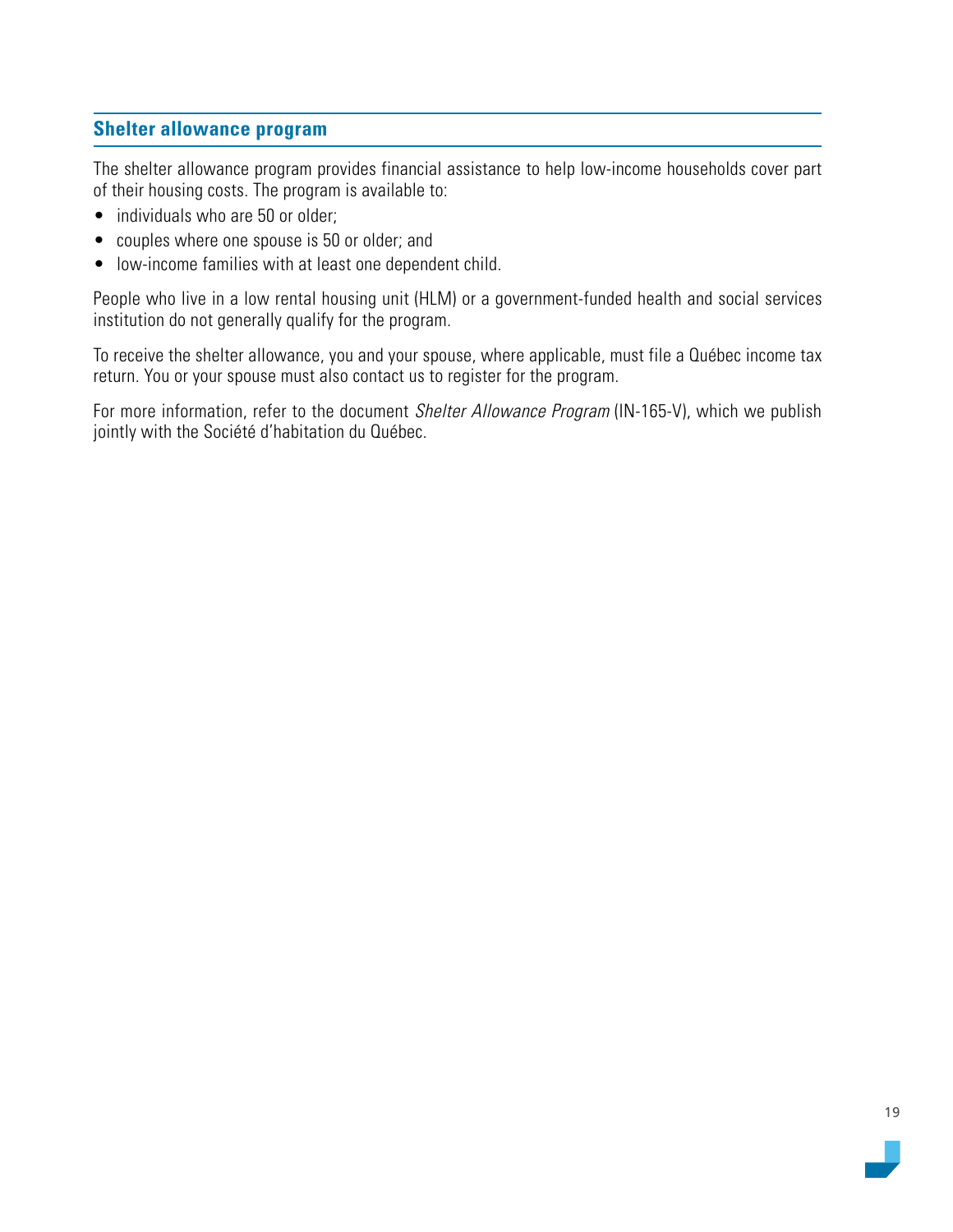#### <span id="page-18-0"></span>**Shelter allowance program**

The shelter allowance program provides financial assistance to help low-income households cover part of their housing costs. The program is available to:

- individuals who are 50 or older;
- couples where one spouse is 50 or older; and
- low-income families with at least one dependent child.

People who live in a low rental housing unit (HLM) or a government-funded health and social services institution do not generally qualify for the program.

To receive the shelter allowance, you and your spouse, where applicable, must file a Québec income tax return. You or your spouse must also contact us to register for the program.

For more information, refer to the document Shelter Allowance Program (IN-165-V), which we publish jointly with the Société d'habitation du Québec.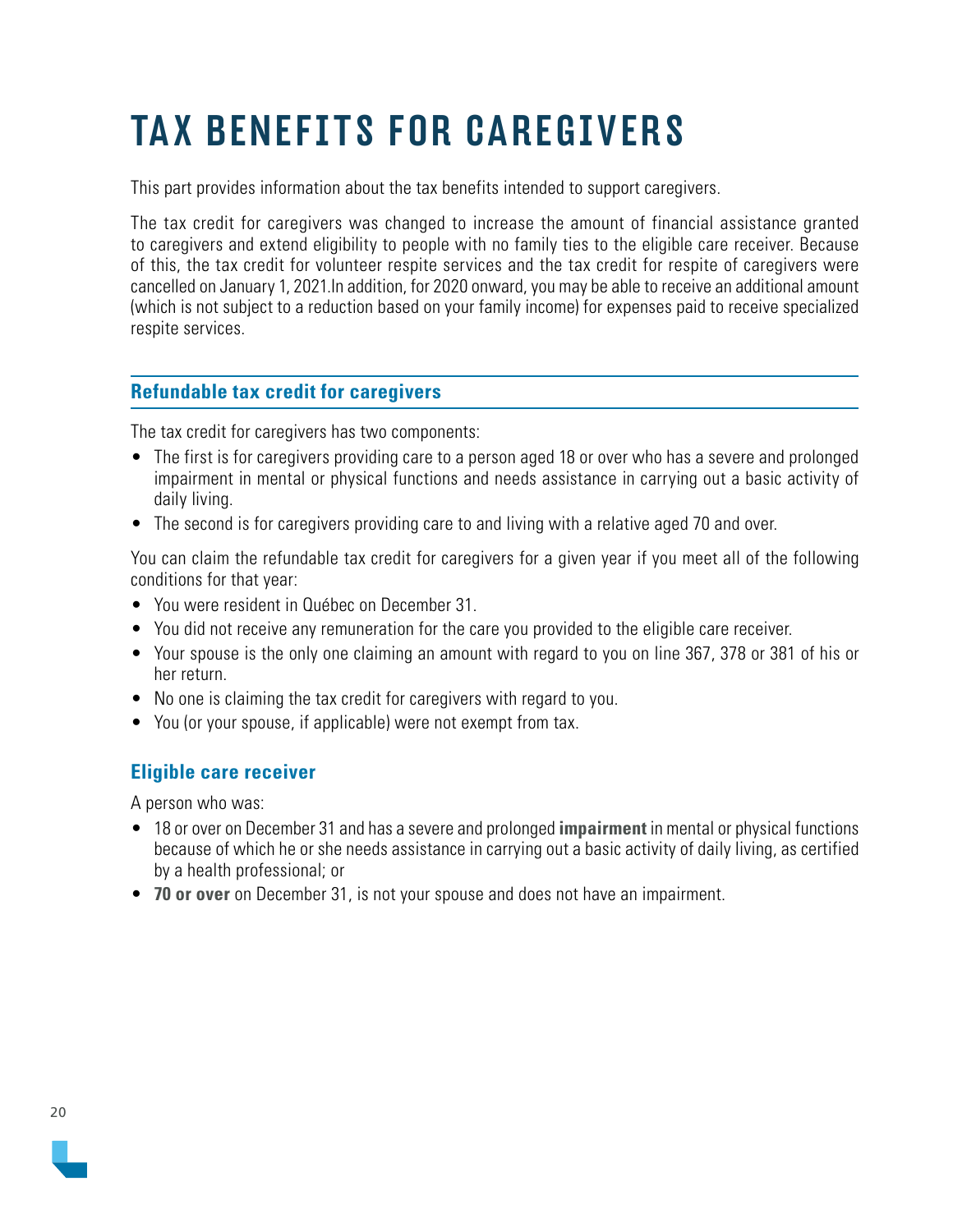# <span id="page-19-0"></span>TAX BENEFITS FOR CAREGIVERS

This part provides information about the tax benefits intended to support caregivers.

The tax credit for caregivers was changed to increase the amount of financial assistance granted to caregivers and extend eligibility to people with no family ties to the eligible care receiver. Because of this, the tax credit for volunteer respite services and the tax credit for respite of caregivers were cancelled on January 1, 2021.In addition, for 2020 onward, you may be able to receive an additional amount (which is not subject to a reduction based on your family income) for expenses paid to receive specialized respite services.

#### **Refundable tax credit for caregivers**

The tax credit for caregivers has two components:

- The first is for caregivers providing care to a person aged 18 or over who has a severe and prolonged impairment in mental or physical functions and needs assistance in carrying out a basic activity of daily living.
- The second is for caregivers providing care to and living with a relative aged 70 and over.

You can claim the refundable tax credit for caregivers for a given year if you meet all of the following conditions for that year:

- You were resident in Québec on December 31.
- You did not receive any remuneration for the care you provided to the eligible care receiver.
- Your spouse is the only one claiming an amount with regard to you on line 367, 378 or 381 of his or her return.
- No one is claiming the tax credit for caregivers with regard to you.
- You (or your spouse, if applicable) were not exempt from tax.

#### **Eligible care receiver**

A person who was:

- 18 or over on December 31 and has a severe and prolonged **impairment** in mental or physical functions because of which he or she needs assistance in carrying out a basic activity of daily living, as certified by a health professional; or
- **70 or over** on December 31, is not your spouse and does not have an impairment.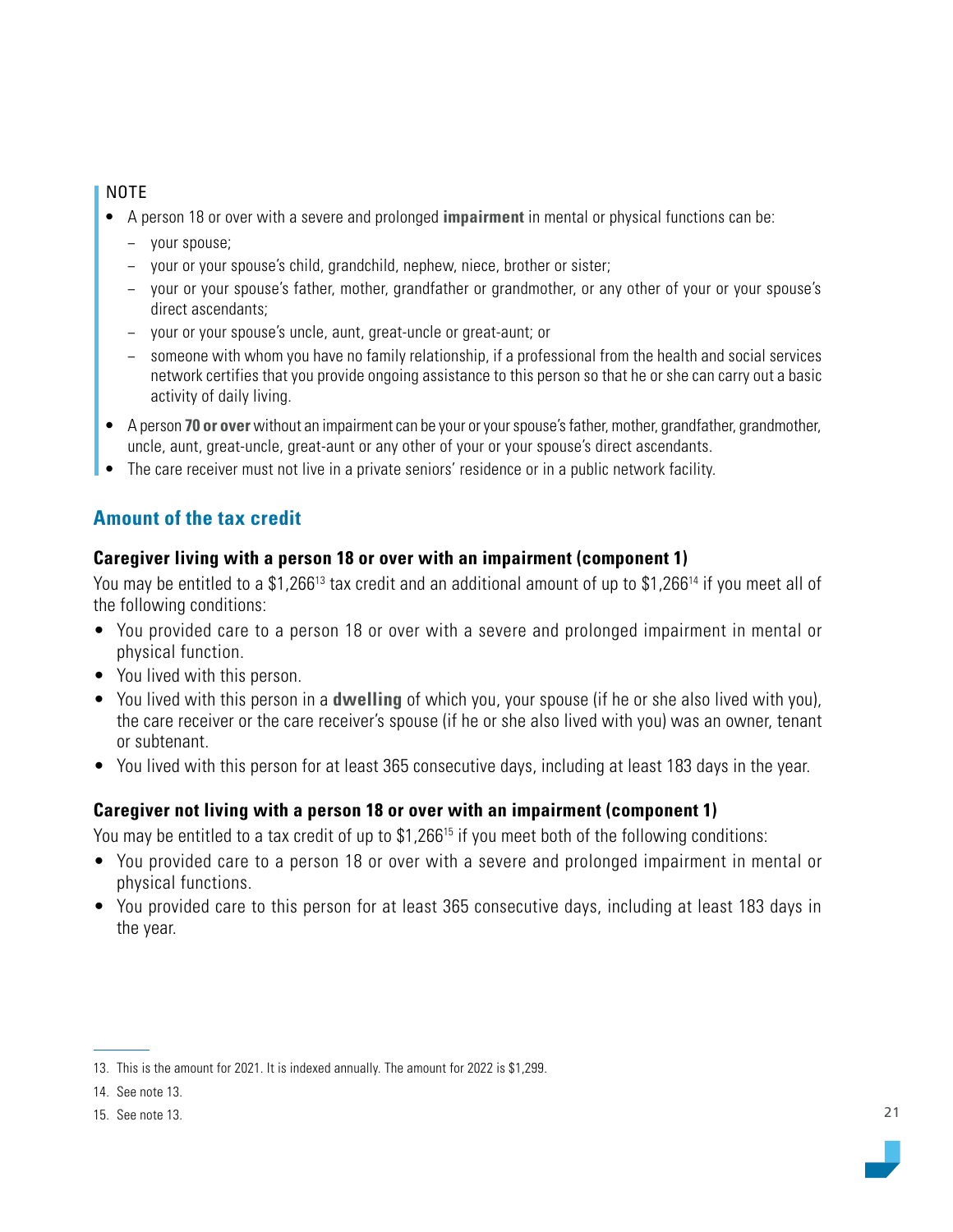#### NOTE

- A person 18 or over with a severe and prolonged **impairment** in mental or physical functions can be:
	- − your spouse;
	- − your or your spouse's child, grandchild, nephew, niece, brother or sister;
	- − your or your spouse's father, mother, grandfather or grandmother, or any other of your or your spouse's direct ascendants;
	- your or your spouse's uncle, aunt, great-uncle or great-aunt; or
	- someone with whom you have no family relationship, if a professional from the health and social services network certifies that you provide ongoing assistance to this person so that he or she can carry out a basic activity of daily living.
- A person **70 or over** without an impairment can be your or your spouse's father, mother, grandfather, grandmother, uncle, aunt, great-uncle, great-aunt or any other of your or your spouse's direct ascendants.
- The care receiver must not live in a private seniors' residence or in a public network facility.

## **Amount of the tax credit**

#### **Caregiver living with a person 18 or over with an impairment (component 1)**

You may be entitled to a \$1,266<sup>13</sup> tax credit and an additional amount of up to \$1,266<sup>14</sup> if you meet all of the following conditions:

- You provided care to a person 18 or over with a severe and prolonged impairment in mental or physical function.
- You lived with this person.
- You lived with this person in a **dwelling** of which you, your spouse (if he or she also lived with you), the care receiver or the care receiver's spouse (if he or she also lived with you) was an owner, tenant or subtenant.
- You lived with this person for at least 365 consecutive days, including at least 183 days in the year.

#### **Caregiver not living with a person 18 or over with an impairment (component 1)**

You may be entitled to a tax credit of up to \$1,266<sup>15</sup> if you meet both of the following conditions:

- You provided care to a person 18 or over with a severe and prolonged impairment in mental or physical functions.
- You provided care to this person for at least 365 consecutive days, including at least 183 days in the year.

<sup>13.</sup> This is the amount for 2021. It is indexed annually. The amount for 2022 is \$1,299.

<sup>14.</sup> See note 13.

<sup>15.</sup> See note 13.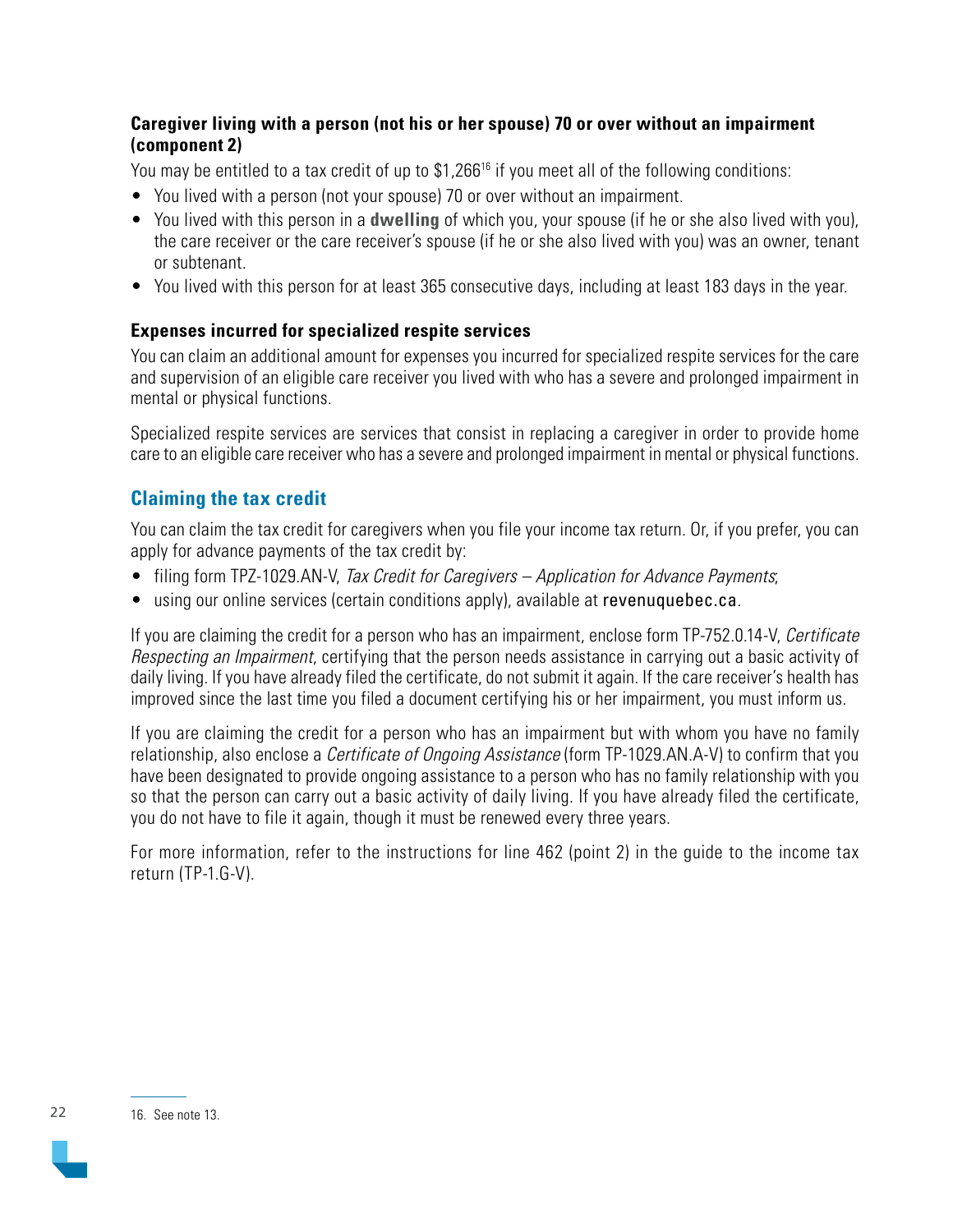#### **Caregiver living with a person (not his or her spouse) 70 or over without an impairment (component 2)**

You may be entitled to a tax credit of up to \$1,266<sup>16</sup> if you meet all of the following conditions:

- You lived with a person (not your spouse) 70 or over without an impairment.
- You lived with this person in a **dwelling** of which you, your spouse (if he or she also lived with you), the care receiver or the care receiver's spouse (if he or she also lived with you) was an owner, tenant or subtenant.
- You lived with this person for at least 365 consecutive days, including at least 183 days in the year.

#### **Expenses incurred for specialized respite services**

You can claim an additional amount for expenses you incurred for specialized respite services for the care and supervision of an eligible care receiver you lived with who has a severe and prolonged impairment in mental or physical functions.

Specialized respite services are services that consist in replacing a caregiver in order to provide home care to an eligible care receiver who has a severe and prolonged impairment in mental or physical functions.

## **Claiming the tax credit**

You can claim the tax credit for caregivers when you file your income tax return. Or, if you prefer, you can apply for advance payments of the tax credit by:

- filing form TPZ-1029.AN-V, Tax Credit for Caregivers Application for Advance Payments;
- using our online services (certain conditions apply), available at [revenuquebec.ca](https://www.revenuquebec.ca/en/).

If you are claiming the credit for a person who has an impairment, enclose form TP-752.0.14-V, Certificate Respecting an Impairment, certifying that the person needs assistance in carrying out a basic activity of daily living. If you have already filed the certificate, do not submit it again. If the care receiver's health has improved since the last time you filed a document certifying his or her impairment, you must inform us.

If you are claiming the credit for a person who has an impairment but with whom you have no family relationship, also enclose a *Certificate of Ongoing Assistance* (form TP-1029.AN.A-V) to confirm that you have been designated to provide ongoing assistance to a person who has no family relationship with you so that the person can carry out a basic activity of daily living. If you have already filed the certificate, you do not have to file it again, though it must be renewed every three years.

For more information, refer to the instructions for line 462 (point 2) in the guide to the income tax return (TP-1.G-V).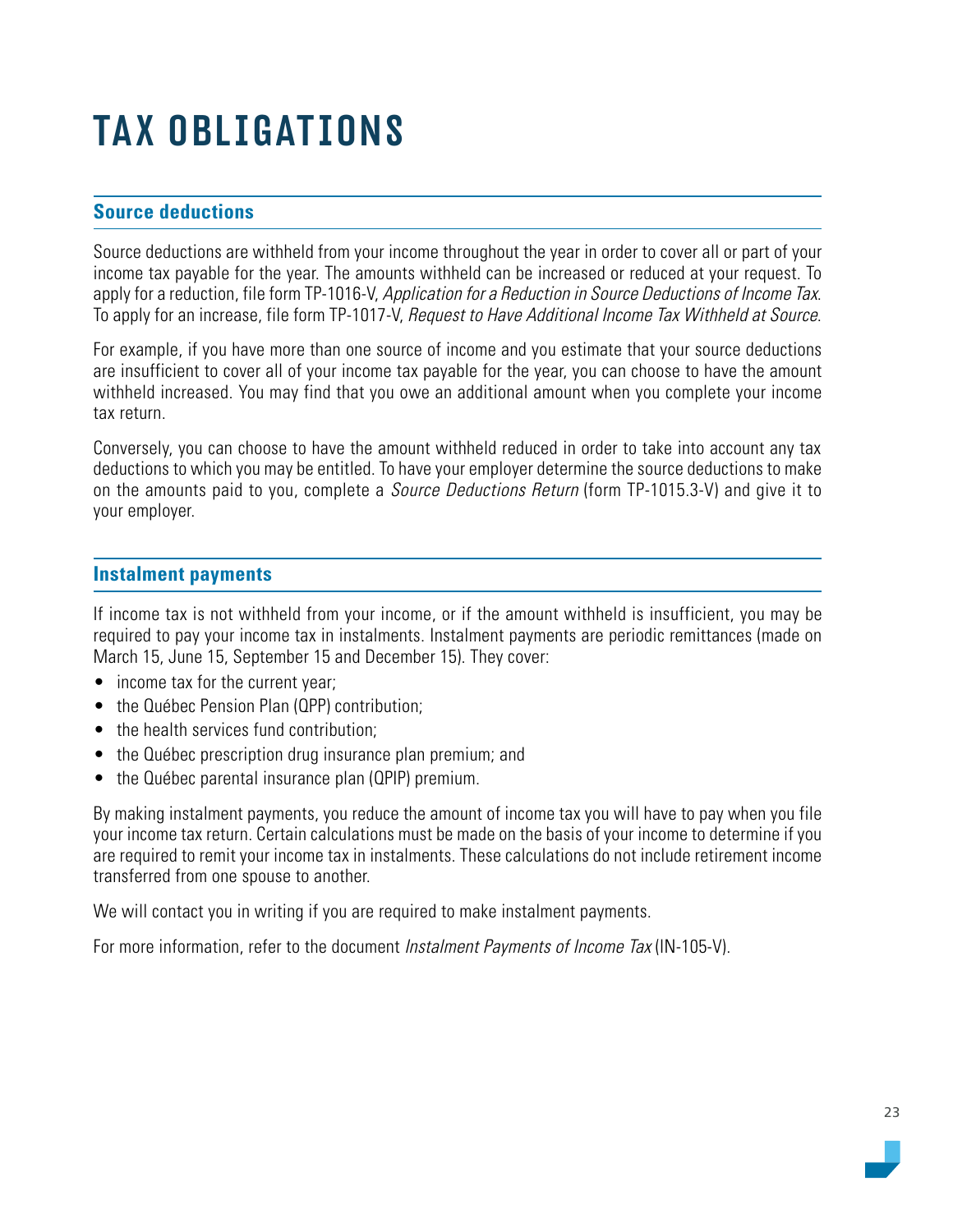# <span id="page-22-0"></span>TAX OBLIGATIONS

#### **Source deductions**

Source deductions are withheld from your income throughout the year in order to cover all or part of your income tax payable for the year. The amounts withheld can be increased or reduced at your request. To apply for a reduction, file form TP-1016-V, Application for a Reduction in Source Deductions of Income Tax. To apply for an increase, file form TP-1017-V, Request to Have Additional Income Tax Withheld at Source.

For example, if you have more than one source of income and you estimate that your source deductions are insufficient to cover all of your income tax payable for the year, you can choose to have the amount withheld increased. You may find that you owe an additional amount when you complete your income tax return.

Conversely, you can choose to have the amount withheld reduced in order to take into account any tax deductions to which you may be entitled. To have your employer determine the source deductions to make on the amounts paid to you, complete a *Source Deductions Return* (form TP-1015.3-V) and give it to your employer.

#### **Instalment payments**

If income tax is not withheld from your income, or if the amount withheld is insufficient, you may be required to pay your income tax in instalments. Instalment payments are periodic remittances (made on March 15, June 15, September 15 and December 15). They cover:

- income tax for the current year;
- the Québec Pension Plan (QPP) contribution:
- the health services fund contribution:
- the Québec prescription drug insurance plan premium; and
- the Québec parental insurance plan (QPIP) premium.

By making instalment payments, you reduce the amount of income tax you will have to pay when you file your income tax return. Certain calculations must be made on the basis of your income to determine if you are required to remit your income tax in instalments. These calculations do not include retirement income transferred from one spouse to another.

We will contact you in writing if you are required to make instalment payments.

For more information, refer to the document *Instalment Payments of Income Tax* (IN-105-V).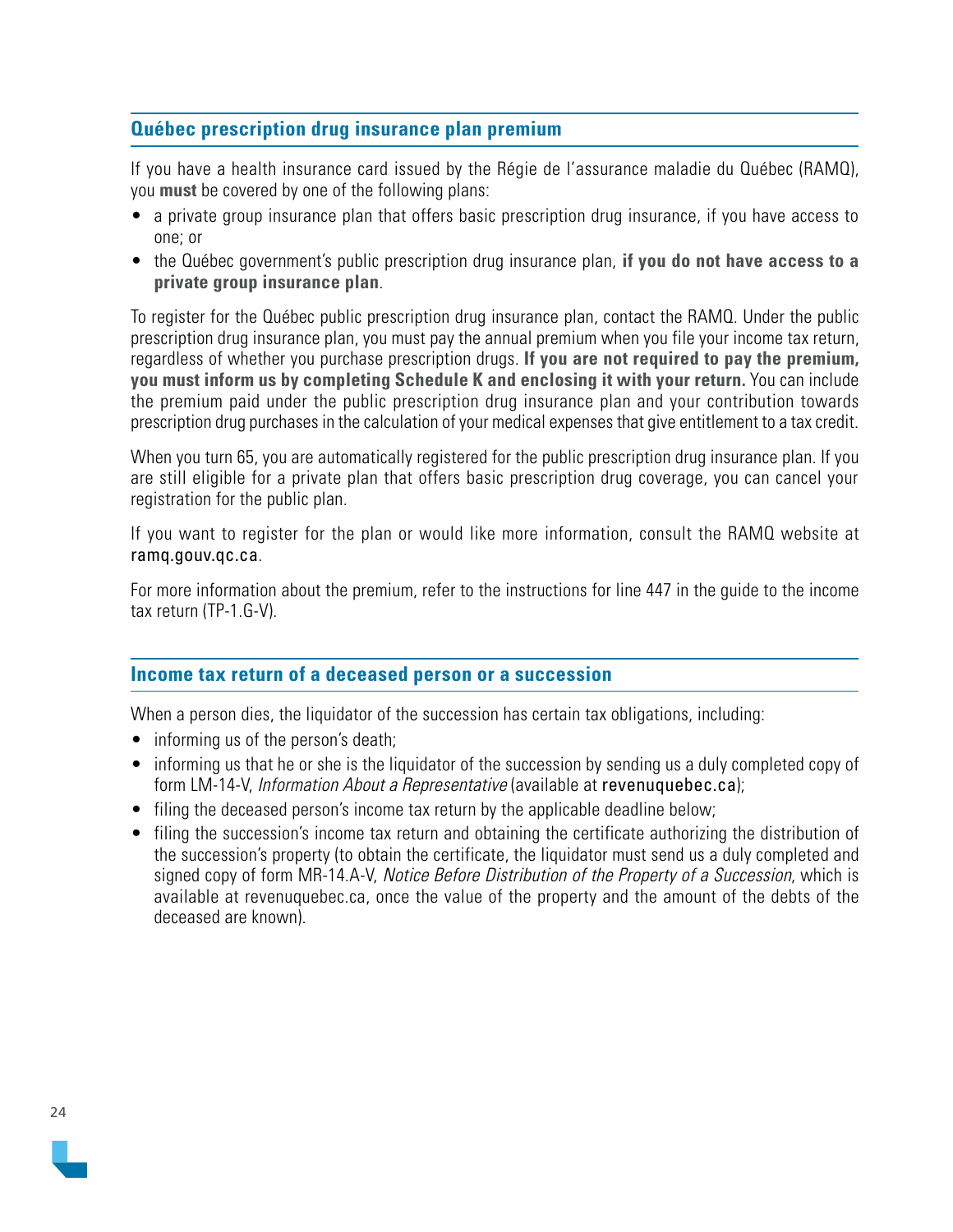#### <span id="page-23-0"></span>**Québec prescription drug insurance plan premium**

If you have a health insurance card issued by the Régie de l'assurance maladie du Québec (RAMQ), you **must** be covered by one of the following plans:

- a private group insurance plan that offers basic prescription drug insurance, if you have access to one; or
- the Québec government's public prescription drug insurance plan, **if you do not have access to a private group insurance plan**.

To register for the Québec public prescription drug insurance plan, contact the RAMQ. Under the public prescription drug insurance plan, you must pay the annual premium when you file your income tax return, regardless of whether you purchase prescription drugs. **If you are not required to pay the premium, you must inform us by completing Schedule K and enclosing it with your return.** You can include the premium paid under the public prescription drug insurance plan and your contribution towards prescription drug purchases in the calculation of your medical expenses that give entitlement to a tax credit.

When you turn 65, you are automatically registered for the public prescription drug insurance plan. If you are still eligible for a private plan that offers basic prescription drug coverage, you can cancel your registration for the public plan.

If you want to register for the plan or would like more information, consult the RAMQ website at [ramq.gouv.qc.ca](https://www.ramq.gouv.qc.ca/en).

For more information about the premium, refer to the instructions for line 447 in the guide to the income tax return (TP-1.G-V).

#### **Income tax return of a deceased person or a succession**

When a person dies, the liquidator of the succession has certain tax obligations, including:

- informing us of the person's death;
- informing us that he or she is the liquidator of the succession by sending us a duly completed copy of form LM-14-V, *Information About a Representative* (available at revenuquebec.ca);
- filing the deceased person's income tax return by the applicable deadline below;
- filing the succession's income tax return and obtaining the certificate authorizing the distribution of the succession's property (to obtain the certificate, the liquidator must send us a duly completed and signed copy of form MR-14.A-V, Notice Before Distribution of the Property of a Succession, which is available at [revenuquebec.ca](https://www.revenuquebec.ca/en/), once the value of the property and the amount of the debts of the deceased are known).

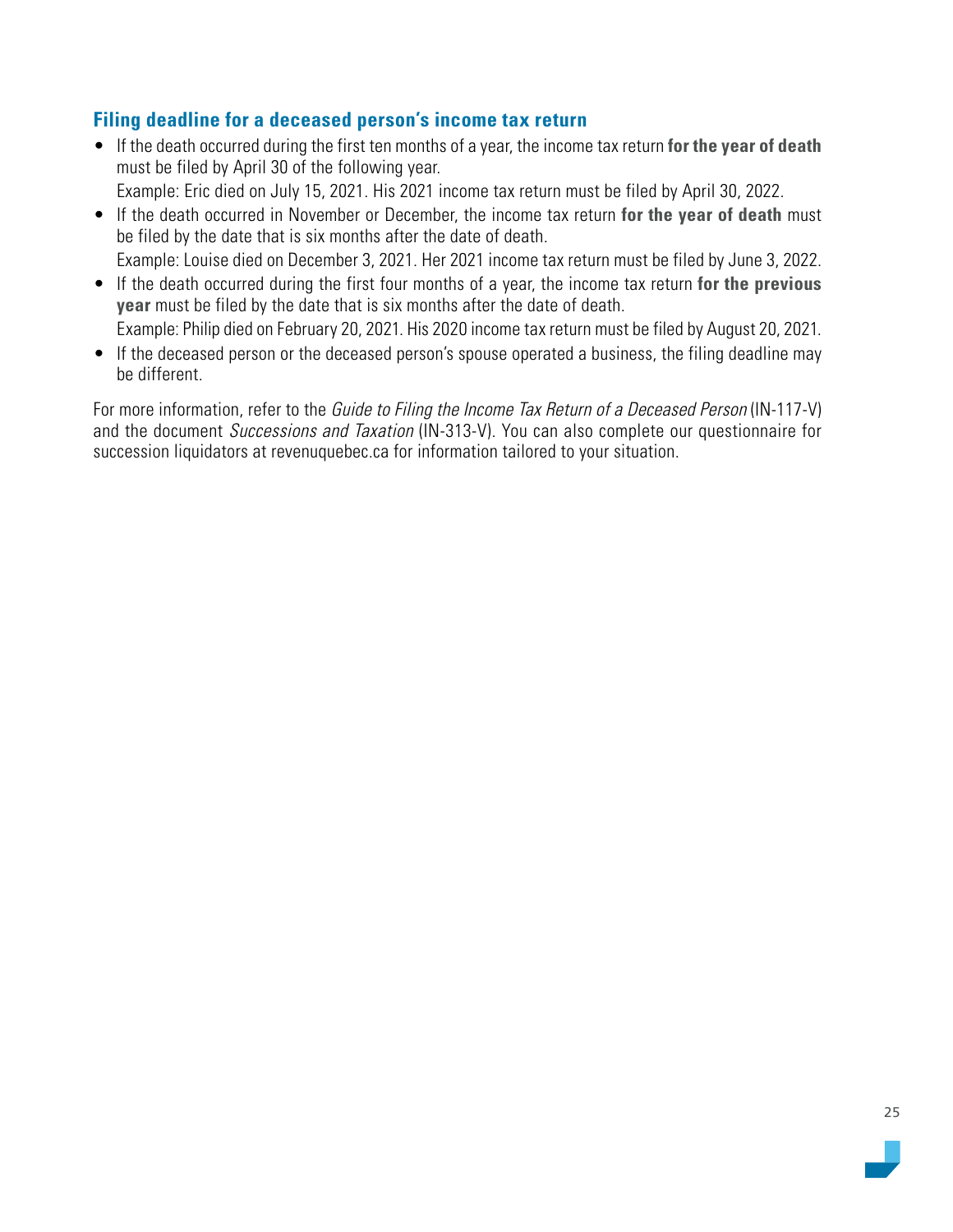#### **Filing deadline for a deceased person's income tax return**

• If the death occurred during the first ten months of a year, the income tax return **for the year of death**  must be filed by April 30 of the following year.

Example: Eric died on July 15, 2021. His 2021 income tax return must be filed by April 30, 2022.

• If the death occurred in November or December, the income tax return **for the year of death** must be filed by the date that is six months after the date of death.

Example: Louise died on December 3, 2021. Her 2021 income tax return must be filed by June 3, 2022.

- If the death occurred during the first four months of a year, the income tax return **for the previous year** must be filed by the date that is six months after the date of death. Example: Philip died on February 20, 2021. His 2020 income tax return must be filed by August 20, 2021.
- If the deceased person or the deceased person's spouse operated a business, the filing deadline may be different.

For more information, refer to the Guide to Filing the Income Tax Return of a Deceased Person (IN-117-V) and the document Successions and Taxation (IN-313-V). You can also complete our questionnaire for succession liquidators at revenuquebec.ca for information tailored to your situation.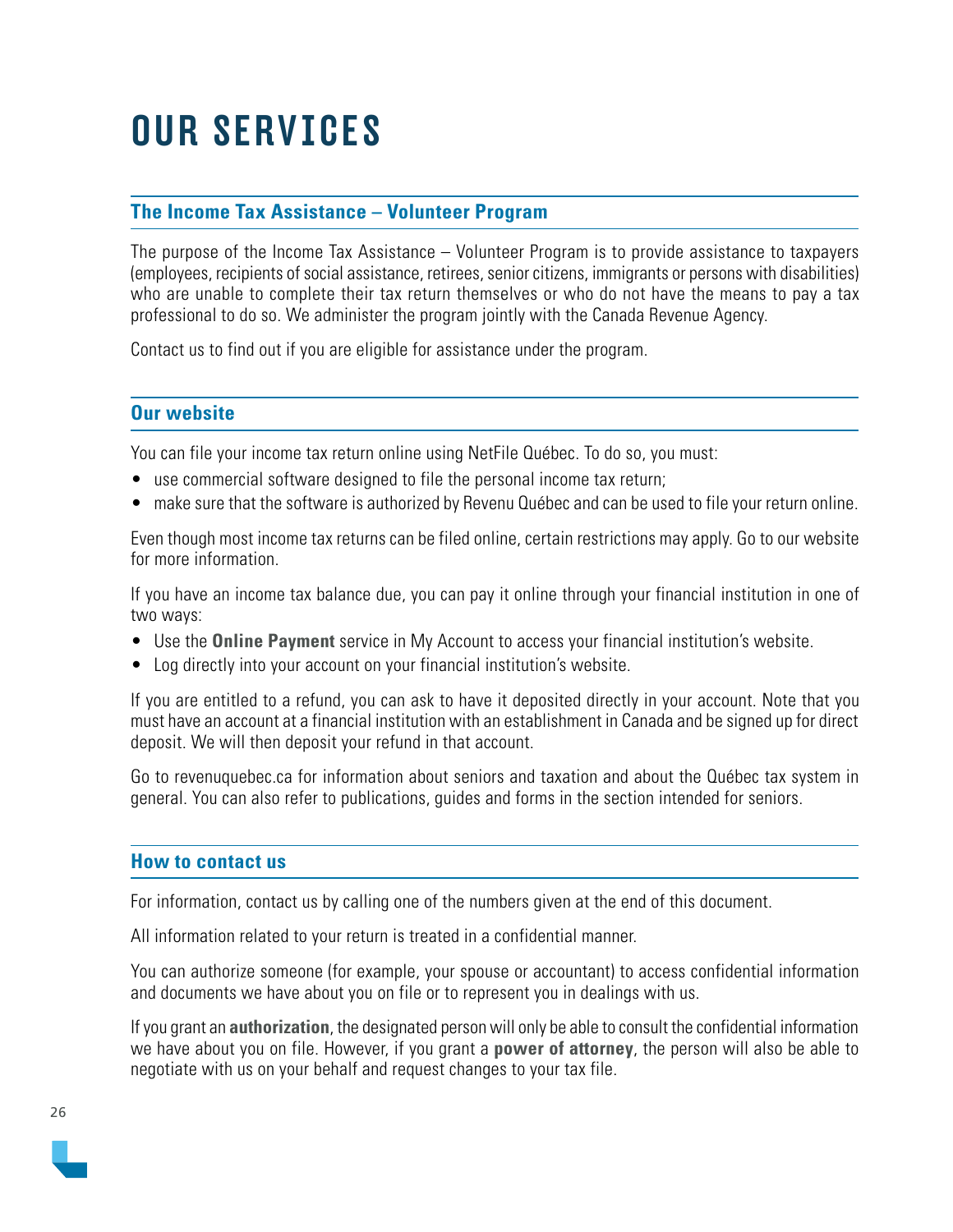# <span id="page-25-0"></span>OUR SERVICES

#### **The Income Tax Assistance – Volunteer Program**

The purpose of the Income Tax Assistance – Volunteer Program is to provide assistance to taxpayers (employees, recipients of social assistance, retirees, senior citizens, immigrants or persons with disabilities) who are unable to complete their tax return themselves or who do not have the means to pay a tax professional to do so. We administer the program jointly with the Canada Revenue Agency.

Contact us to find out if you are eligible for assistance under the program.

#### **Our website**

You can file your income tax return online using NetFile Québec. To do so, you must:

- use commercial software designed to file the personal income tax return;
- make sure that the software is authorized by Revenu Québec and can be used to file your return online.

Even though most income tax returns can be filed online, certain restrictions may apply. Go to our website for more information.

If you have an income tax balance due, you can pay it online through your financial institution in one of two ways:

- Use the **Online Payment** service in My Account to access your financial institution's website.
- Log directly into your account on your financial institution's website.

If you are entitled to a refund, you can ask to have it deposited directly in your account. Note that you must have an account at a financial institution with an establishment in Canada and be signed up for direct deposit. We will then deposit your refund in that account.

Go to [revenuquebec.ca](https://www.revenuquebec.ca/en/) for information about seniors and taxation and about the Québec tax system in general. You can also refer to publications, guides and forms in the section intended for seniors.

#### **How to contact us**

For information, contact us by calling one of the numbers given at the end of this document.

All information related to your return is treated in a confidential manner.

You can authorize someone (for example, your spouse or accountant) to access confidential information and documents we have about you on file or to represent you in dealings with us.

If you grant an **authorization**, the designated person will only be able to consult the confidential information we have about you on file. However, if you grant a **power of attorney**, the person will also be able to negotiate with us on your behalf and request changes to your tax file.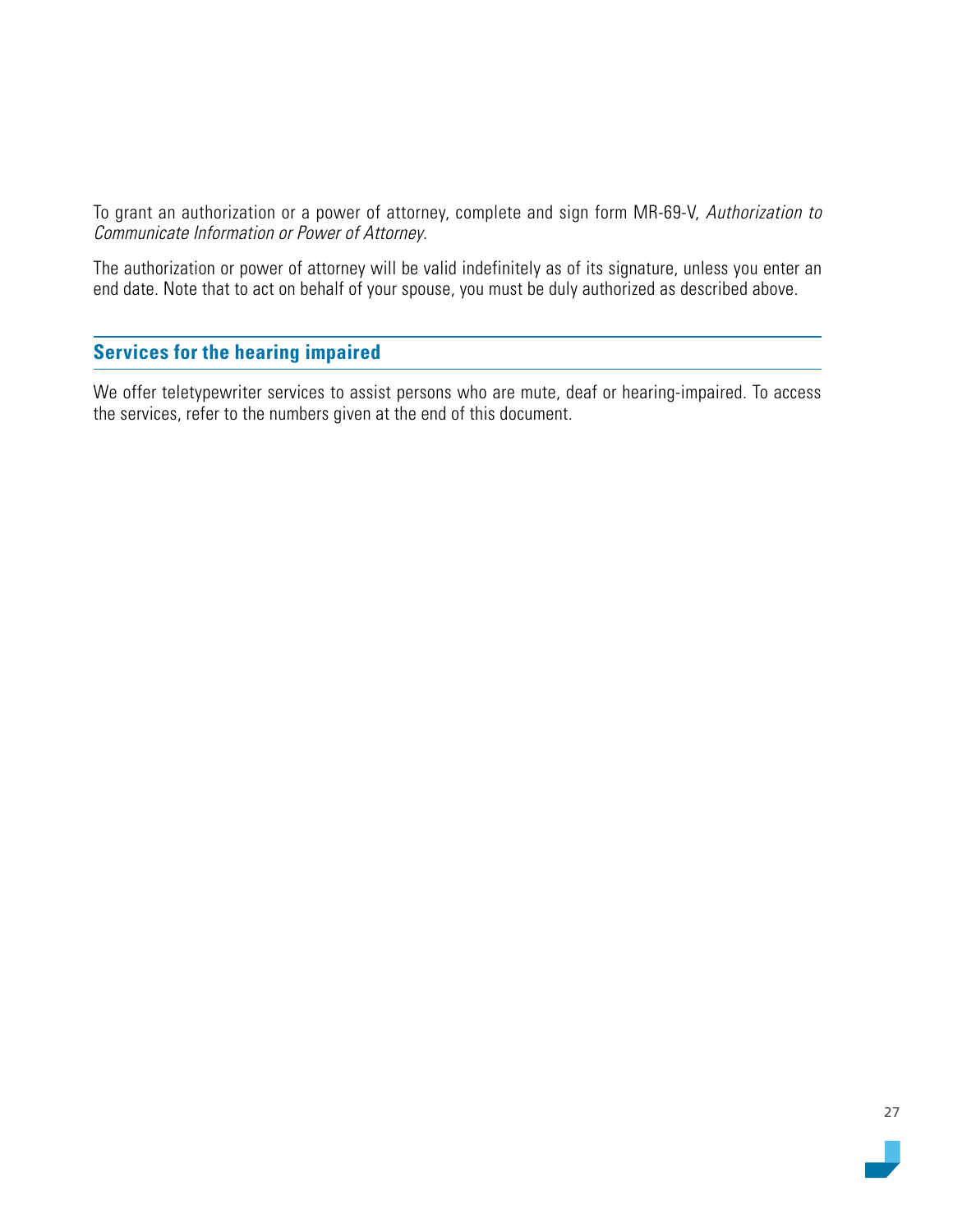<span id="page-26-0"></span>To grant an authorization or a power of attorney, complete and sign form MR-69-V, Authorization to Communicate Information or Power of Attorney.

The authorization or power of attorney will be valid indefinitely as of its signature, unless you enter an end date. Note that to act on behalf of your spouse, you must be duly authorized as described above.

#### **Services for the hearing impaired**

We offer teletypewriter services to assist persons who are mute, deaf or hearing-impaired. To access the services, refer to the numbers given at the end of this document.